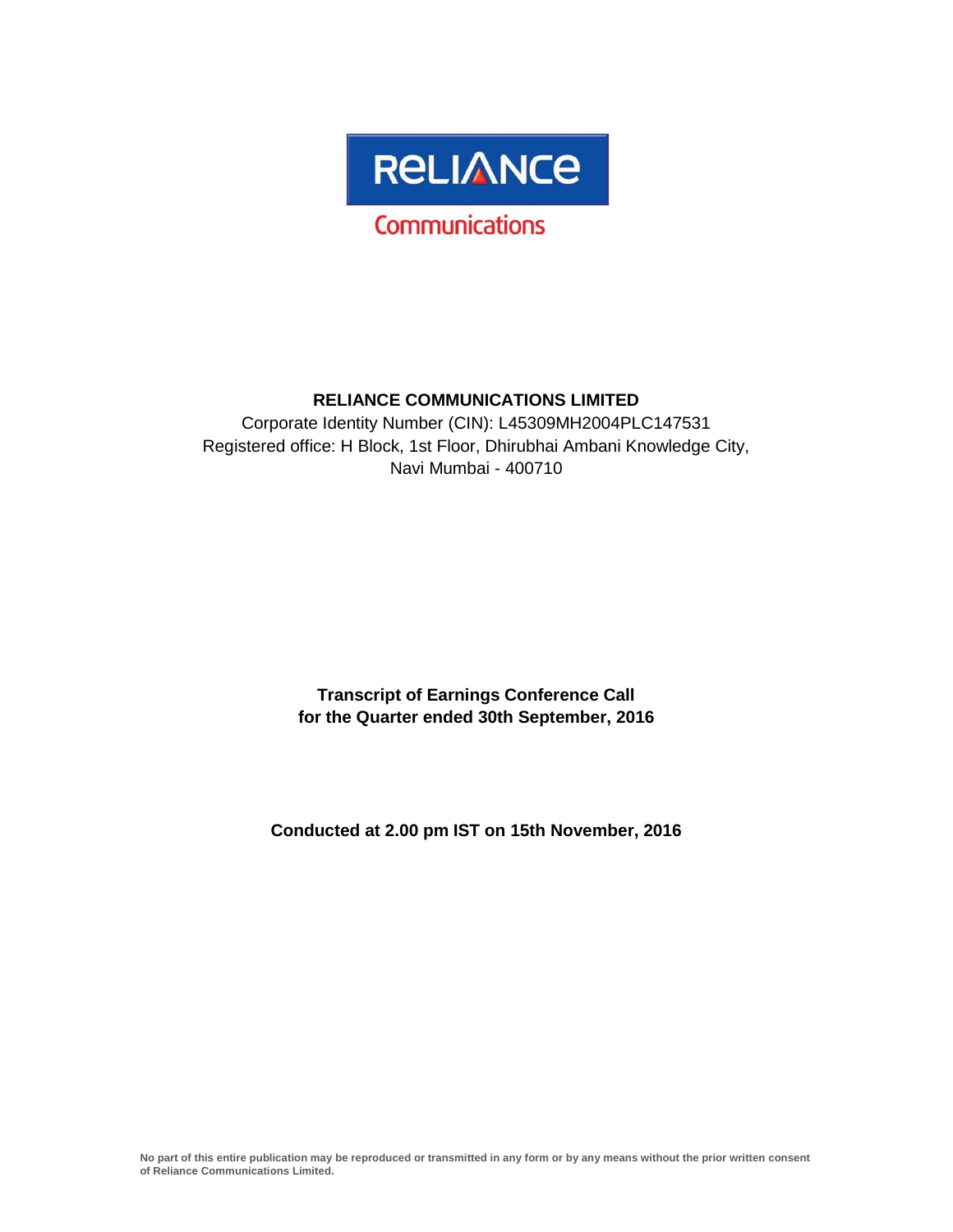

# **RELIANCE COMMUNICATIONS LIMITED**

Corporate Identity Number (CIN): L45309MH2004PLC147531 Registered office: H Block, 1st Floor, Dhirubhai Ambani Knowledge City, Navi Mumbai - 400710

> **Transcript of Earnings Conference Call for the Quarter ended 30th September, 2016**

**Conducted at 2.00 pm IST on 15th November, 2016**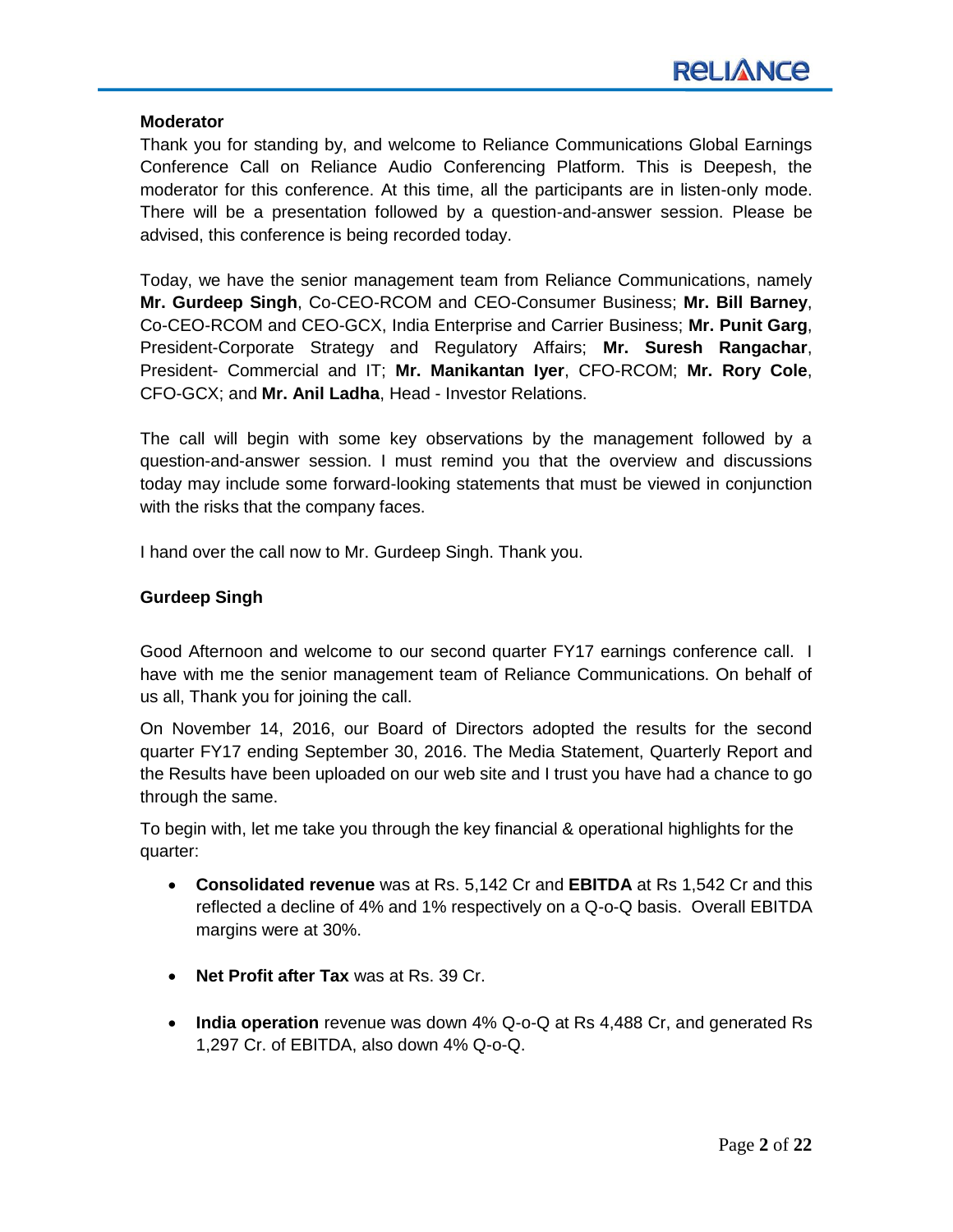#### **Moderator**

Thank you for standing by, and welcome to Reliance Communications Global Earnings Conference Call on Reliance Audio Conferencing Platform. This is Deepesh, the moderator for this conference. At this time, all the participants are in listen-only mode. There will be a presentation followed by a question-and-answer session. Please be advised, this conference is being recorded today.

Today, we have the senior management team from Reliance Communications, namely **Mr. Gurdeep Singh**, Co-CEO-RCOM and CEO-Consumer Business; **Mr. Bill Barney**, Co-CEO-RCOM and CEO-GCX, India Enterprise and Carrier Business; **Mr. Punit Garg**, President-Corporate Strategy and Regulatory Affairs; **Mr. Suresh Rangachar**, President- Commercial and IT; **Mr. Manikantan Iyer**, CFO-RCOM; **Mr. Rory Cole**, CFO-GCX; and **Mr. Anil Ladha**, Head - Investor Relations.

The call will begin with some key observations by the management followed by a question-and-answer session. I must remind you that the overview and discussions today may include some forward-looking statements that must be viewed in conjunction with the risks that the company faces.

I hand over the call now to Mr. Gurdeep Singh. Thank you.

# **Gurdeep Singh**

Good Afternoon and welcome to our second quarter FY17 earnings conference call. I have with me the senior management team of Reliance Communications. On behalf of us all, Thank you for joining the call.

On November 14, 2016, our Board of Directors adopted the results for the second quarter FY17 ending September 30, 2016. The Media Statement, Quarterly Report and the Results have been uploaded on our web site and I trust you have had a chance to go through the same.

To begin with, let me take you through the key financial & operational highlights for the quarter:

- **Consolidated revenue** was at Rs. 5,142 Cr and **EBITDA** at Rs 1,542 Cr and this reflected a decline of 4% and 1% respectively on a Q-o-Q basis. Overall EBITDA margins were at 30%.
- **Net Profit after Tax** was at Rs. 39 Cr.
- **India operation** revenue was down 4% Q-o-Q at Rs 4,488 Cr, and generated Rs 1,297 Cr. of EBITDA, also down 4% Q-o-Q.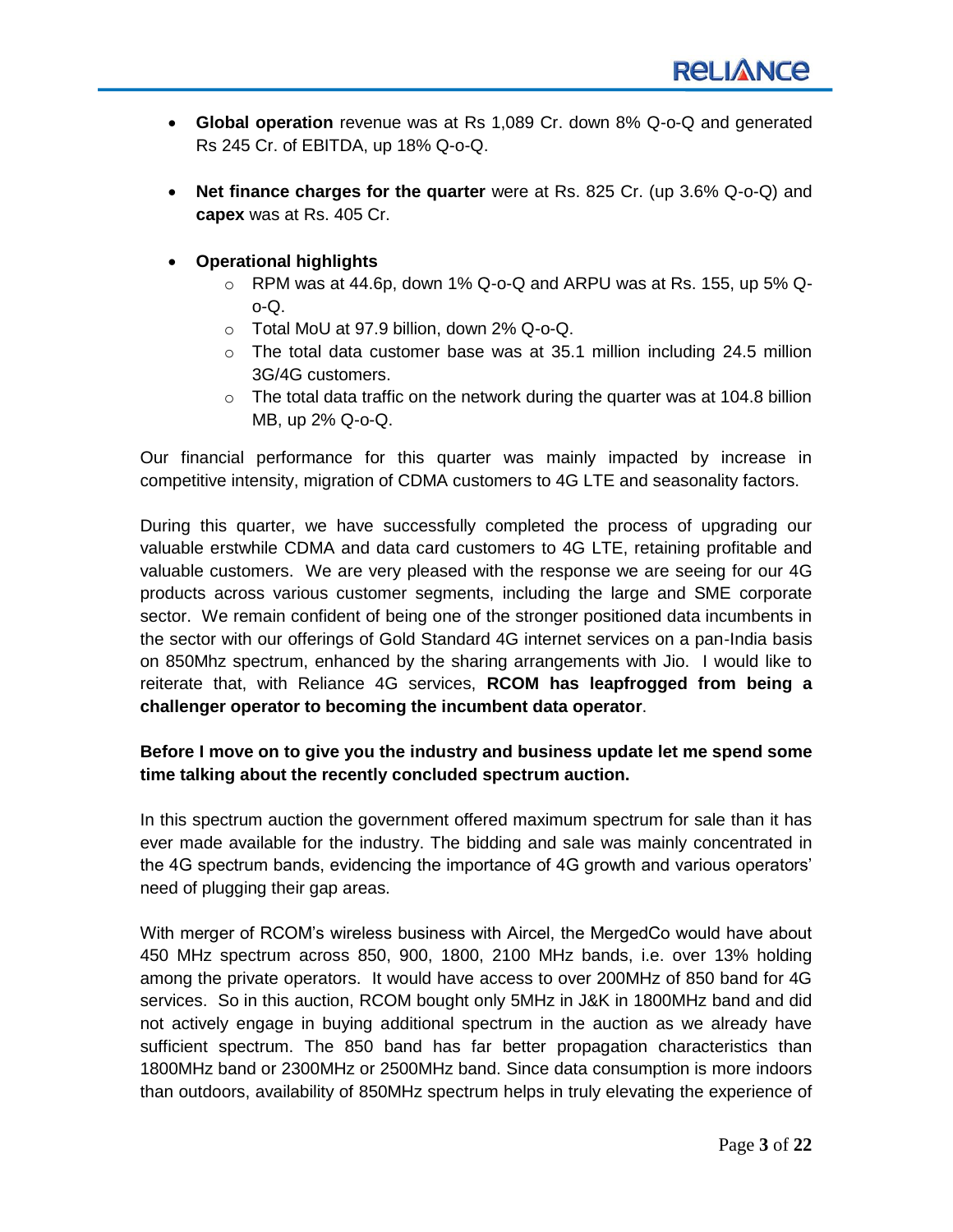- **Global operation** revenue was at Rs 1,089 Cr. down 8% Q-o-Q and generated Rs 245 Cr. of EBITDA, up 18% Q-o-Q.
- **Net finance charges for the quarter** were at Rs. 825 Cr. (up 3.6% Q-o-Q) and **capex** was at Rs. 405 Cr.
- **Operational highlights**
	- $\circ$  RPM was at 44.6p, down 1% Q-o-Q and ARPU was at Rs. 155, up 5% Qo-Q.
	- o Total MoU at 97.9 billion, down 2% Q-o-Q.
	- $\circ$  The total data customer base was at 35.1 million including 24.5 million 3G/4G customers.
	- $\circ$  The total data traffic on the network during the quarter was at 104.8 billion MB, up 2% Q-o-Q.

Our financial performance for this quarter was mainly impacted by increase in competitive intensity, migration of CDMA customers to 4G LTE and seasonality factors.

During this quarter, we have successfully completed the process of upgrading our valuable erstwhile CDMA and data card customers to 4G LTE, retaining profitable and valuable customers. We are very pleased with the response we are seeing for our 4G products across various customer segments, including the large and SME corporate sector. We remain confident of being one of the stronger positioned data incumbents in the sector with our offerings of Gold Standard 4G internet services on a pan-India basis on 850Mhz spectrum, enhanced by the sharing arrangements with Jio. I would like to reiterate that, with Reliance 4G services, **RCOM has leapfrogged from being a challenger operator to becoming the incumbent data operator**.

# **Before I move on to give you the industry and business update let me spend some time talking about the recently concluded spectrum auction.**

In this spectrum auction the government offered maximum spectrum for sale than it has ever made available for the industry. The bidding and sale was mainly concentrated in the 4G spectrum bands, evidencing the importance of 4G growth and various operators' need of plugging their gap areas.

With merger of RCOM's wireless business with Aircel, the MergedCo would have about 450 MHz spectrum across 850, 900, 1800, 2100 MHz bands, i.e. over 13% holding among the private operators. It would have access to over 200MHz of 850 band for 4G services. So in this auction, RCOM bought only 5MHz in J&K in 1800MHz band and did not actively engage in buying additional spectrum in the auction as we already have sufficient spectrum. The 850 band has far better propagation characteristics than 1800MHz band or 2300MHz or 2500MHz band. Since data consumption is more indoors than outdoors, availability of 850MHz spectrum helps in truly elevating the experience of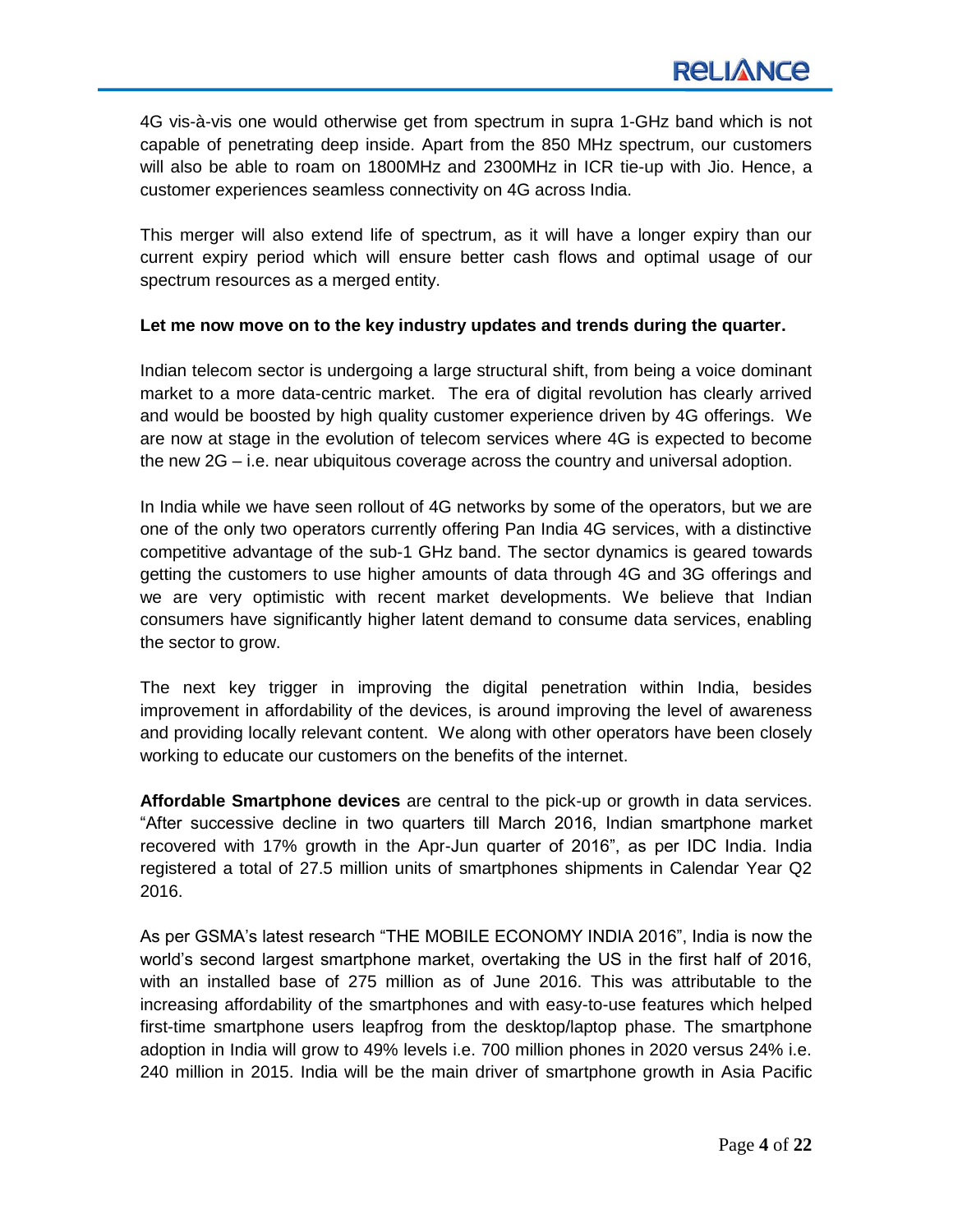4G vis-à-vis one would otherwise get from spectrum in supra 1-GHz band which is not capable of penetrating deep inside. Apart from the 850 MHz spectrum, our customers will also be able to roam on 1800MHz and 2300MHz in ICR tie-up with Jio. Hence, a customer experiences seamless connectivity on 4G across India.

This merger will also extend life of spectrum, as it will have a longer expiry than our current expiry period which will ensure better cash flows and optimal usage of our spectrum resources as a merged entity.

# **Let me now move on to the key industry updates and trends during the quarter.**

Indian telecom sector is undergoing a large structural shift, from being a voice dominant market to a more data-centric market. The era of digital revolution has clearly arrived and would be boosted by high quality customer experience driven by 4G offerings. We are now at stage in the evolution of telecom services where 4G is expected to become the new 2G – i.e. near ubiquitous coverage across the country and universal adoption.

In India while we have seen rollout of 4G networks by some of the operators, but we are one of the only two operators currently offering Pan India 4G services, with a distinctive competitive advantage of the sub-1 GHz band. The sector dynamics is geared towards getting the customers to use higher amounts of data through 4G and 3G offerings and we are very optimistic with recent market developments. We believe that Indian consumers have significantly higher latent demand to consume data services, enabling the sector to grow.

The next key trigger in improving the digital penetration within India, besides improvement in affordability of the devices, is around improving the level of awareness and providing locally relevant content. We along with other operators have been closely working to educate our customers on the benefits of the internet.

**Affordable Smartphone devices** are central to the pick-up or growth in data services. "After successive decline in two quarters till March 2016, Indian smartphone market recovered with 17% growth in the Apr-Jun quarter of 2016", as per IDC India. India registered a total of 27.5 million units of smartphones shipments in Calendar Year Q2 2016.

As per GSMA's latest research "THE MOBILE ECONOMY INDIA 2016", India is now the world's second largest smartphone market, overtaking the US in the first half of 2016, with an installed base of 275 million as of June 2016. This was attributable to the increasing affordability of the smartphones and with easy-to-use features which helped first-time smartphone users leapfrog from the desktop/laptop phase. The smartphone adoption in India will grow to 49% levels i.e. 700 million phones in 2020 versus 24% i.e. 240 million in 2015. India will be the main driver of smartphone growth in Asia Pacific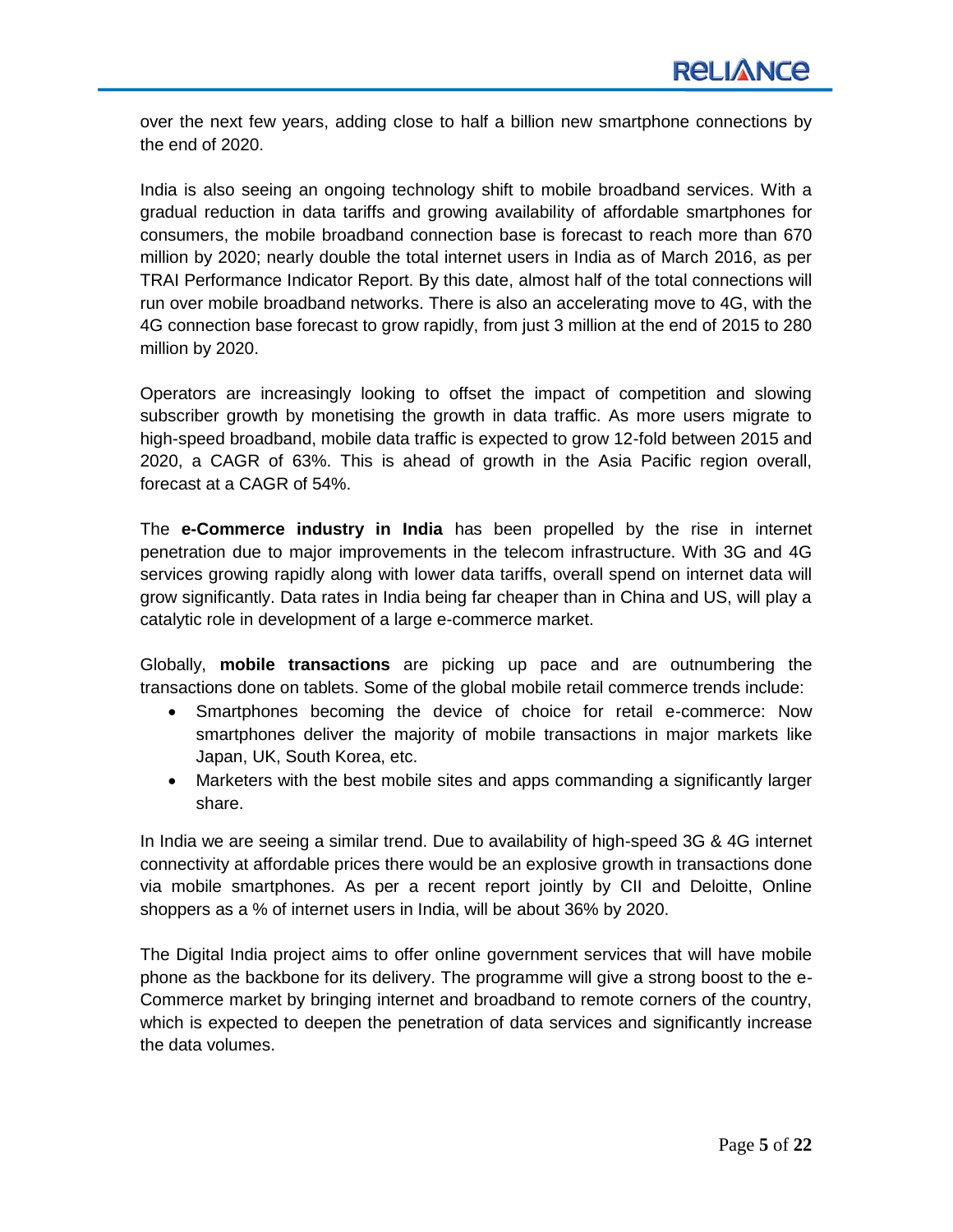over the next few years, adding close to half a billion new smartphone connections by the end of 2020.

India is also seeing an ongoing technology shift to mobile broadband services. With a gradual reduction in data tariffs and growing availability of affordable smartphones for consumers, the mobile broadband connection base is forecast to reach more than 670 million by 2020; nearly double the total internet users in India as of March 2016, as per TRAI Performance Indicator Report. By this date, almost half of the total connections will run over mobile broadband networks. There is also an accelerating move to 4G, with the 4G connection base forecast to grow rapidly, from just 3 million at the end of 2015 to 280 million by 2020.

Operators are increasingly looking to offset the impact of competition and slowing subscriber growth by monetising the growth in data traffic. As more users migrate to high-speed broadband, mobile data traffic is expected to grow 12-fold between 2015 and 2020, a CAGR of 63%. This is ahead of growth in the Asia Pacific region overall, forecast at a CAGR of 54%.

The **e-Commerce industry in India** has been propelled by the rise in internet penetration due to major improvements in the telecom infrastructure. With 3G and 4G services growing rapidly along with lower data tariffs, overall spend on internet data will grow significantly. Data rates in India being far cheaper than in China and US, will play a catalytic role in development of a large e-commerce market.

Globally, **mobile transactions** are picking up pace and are outnumbering the transactions done on tablets. Some of the global mobile retail commerce trends include:

- Smartphones becoming the device of choice for retail e-commerce: Now smartphones deliver the majority of mobile transactions in major markets like Japan, UK, South Korea, etc.
- Marketers with the best mobile sites and apps commanding a significantly larger share.

In India we are seeing a similar trend. Due to availability of high-speed 3G & 4G internet connectivity at affordable prices there would be an explosive growth in transactions done via mobile smartphones. As per a recent report jointly by CII and Deloitte, Online shoppers as a % of internet users in India, will be about 36% by 2020.

The Digital India project aims to offer online government services that will have mobile phone as the backbone for its delivery. The programme will give a strong boost to the e-Commerce market by bringing internet and broadband to remote corners of the country, which is expected to deepen the penetration of data services and significantly increase the data volumes.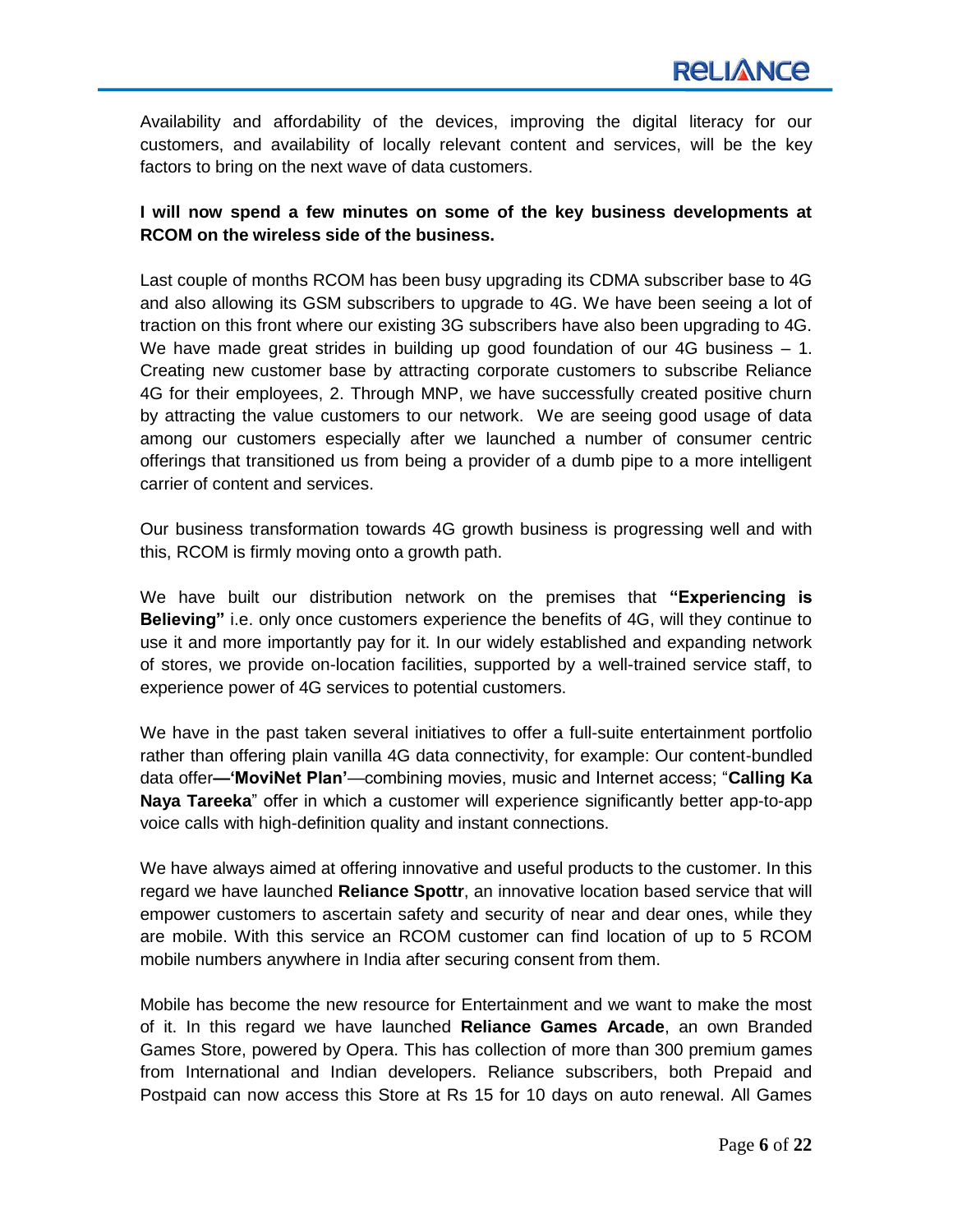Availability and affordability of the devices, improving the digital literacy for our customers, and availability of locally relevant content and services, will be the key factors to bring on the next wave of data customers.

# **I will now spend a few minutes on some of the key business developments at RCOM on the wireless side of the business.**

Last couple of months RCOM has been busy upgrading its CDMA subscriber base to 4G and also allowing its GSM subscribers to upgrade to 4G. We have been seeing a lot of traction on this front where our existing 3G subscribers have also been upgrading to 4G. We have made great strides in building up good foundation of our 4G business - 1. Creating new customer base by attracting corporate customers to subscribe Reliance 4G for their employees, 2. Through MNP, we have successfully created positive churn by attracting the value customers to our network. We are seeing good usage of data among our customers especially after we launched a number of consumer centric offerings that transitioned us from being a provider of a dumb pipe to a more intelligent carrier of content and services.

Our business transformation towards 4G growth business is progressing well and with this, RCOM is firmly moving onto a growth path.

We have built our distribution network on the premises that **"Experiencing is Believing"** i.e. only once customers experience the benefits of 4G, will they continue to use it and more importantly pay for it. In our widely established and expanding network of stores, we provide on-location facilities, supported by a well-trained service staff, to experience power of 4G services to potential customers.

We have in the past taken several initiatives to offer a full-suite entertainment portfolio rather than offering plain vanilla 4G data connectivity, for example: Our content-bundled data offer-'MoviNet Plan'-combining movies, music and Internet access; "Calling Ka **Naya Tareeka**" offer in which a customer will experience significantly better app-to-app voice calls with high-definition quality and instant connections.

We have always aimed at offering innovative and useful products to the customer. In this regard we have launched **Reliance Spottr**, an innovative location based service that will empower customers to ascertain safety and security of near and dear ones, while they are mobile. With this service an RCOM customer can find location of up to 5 RCOM mobile numbers anywhere in India after securing consent from them.

Mobile has become the new resource for Entertainment and we want to make the most of it. In this regard we have launched **Reliance Games Arcade**, an own Branded Games Store, powered by Opera. This has collection of more than 300 premium games from International and Indian developers. Reliance subscribers, both Prepaid and Postpaid can now access this Store at Rs 15 for 10 days on auto renewal. All Games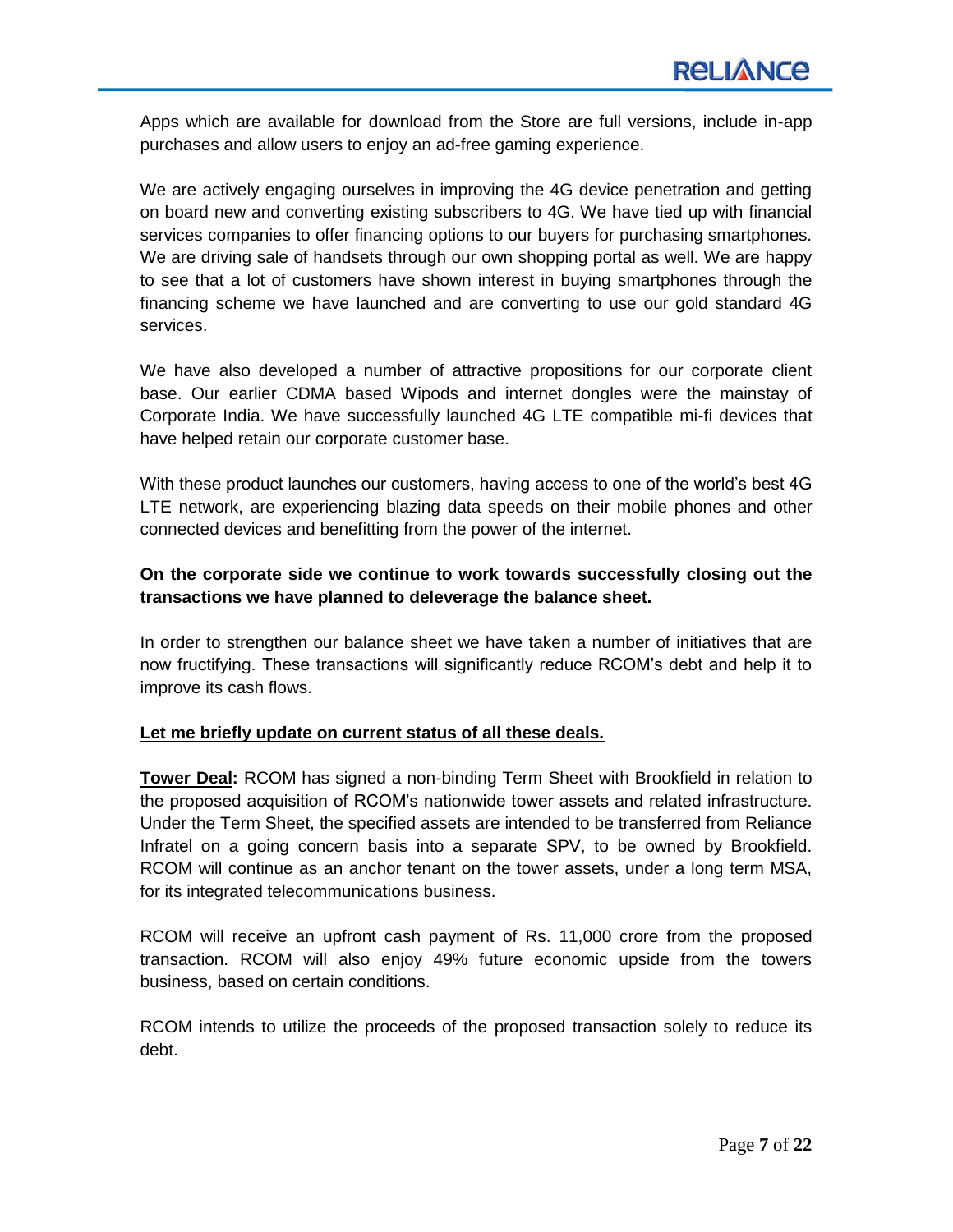Apps which are available for download from the Store are full versions, include in-app purchases and allow users to enjoy an ad-free gaming experience.

We are actively engaging ourselves in improving the 4G device penetration and getting on board new and converting existing subscribers to 4G. We have tied up with financial services companies to offer financing options to our buyers for purchasing smartphones. We are driving sale of handsets through our own shopping portal as well. We are happy to see that a lot of customers have shown interest in buying smartphones through the financing scheme we have launched and are converting to use our gold standard 4G services.

We have also developed a number of attractive propositions for our corporate client base. Our earlier CDMA based Wipods and internet dongles were the mainstay of Corporate India. We have successfully launched 4G LTE compatible mi-fi devices that have helped retain our corporate customer base.

With these product launches our customers, having access to one of the world's best 4G LTE network, are experiencing blazing data speeds on their mobile phones and other connected devices and benefitting from the power of the internet.

# **On the corporate side we continue to work towards successfully closing out the transactions we have planned to deleverage the balance sheet.**

In order to strengthen our balance sheet we have taken a number of initiatives that are now fructifying. These transactions will significantly reduce RCOM's debt and help it to improve its cash flows.

# **Let me briefly update on current status of all these deals.**

**Tower Deal:** RCOM has signed a non-binding Term Sheet with Brookfield in relation to the proposed acquisition of RCOM's nationwide tower assets and related infrastructure. Under the Term Sheet, the specified assets are intended to be transferred from Reliance Infratel on a going concern basis into a separate SPV, to be owned by Brookfield. RCOM will continue as an anchor tenant on the tower assets, under a long term MSA, for its integrated telecommunications business.

RCOM will receive an upfront cash payment of Rs. 11,000 crore from the proposed transaction. RCOM will also enjoy 49% future economic upside from the towers business, based on certain conditions.

RCOM intends to utilize the proceeds of the proposed transaction solely to reduce its debt.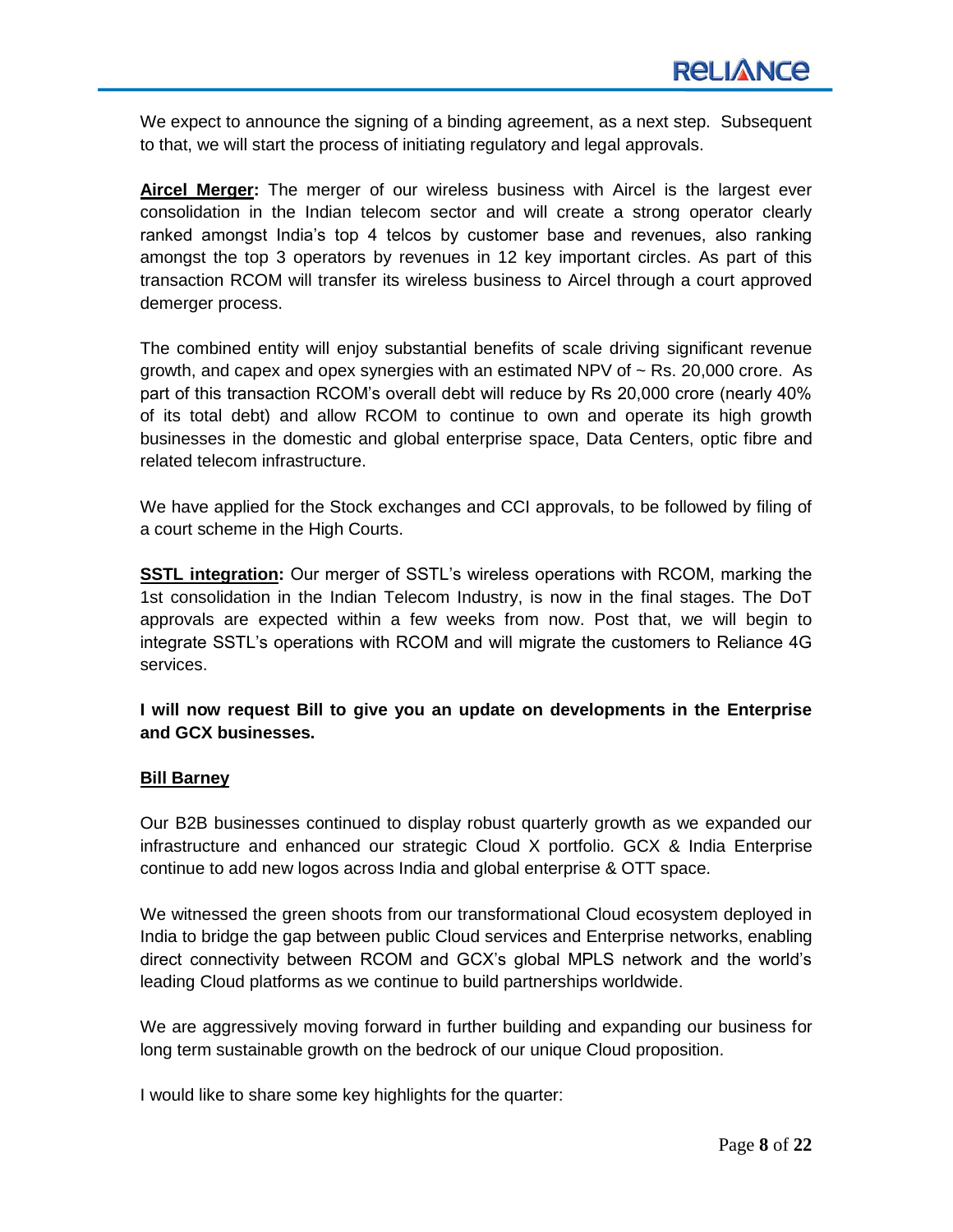We expect to announce the signing of a binding agreement, as a next step. Subsequent to that, we will start the process of initiating regulatory and legal approvals.

**Aircel Merger:** The merger of our wireless business with Aircel is the largest ever consolidation in the Indian telecom sector and will create a strong operator clearly ranked amongst India's top 4 telcos by customer base and revenues, also ranking amongst the top 3 operators by revenues in 12 key important circles. As part of this transaction RCOM will transfer its wireless business to Aircel through a court approved demerger process.

The combined entity will enjoy substantial benefits of scale driving significant revenue growth, and capex and opex synergies with an estimated NPV of  $\sim$  Rs. 20,000 crore. As part of this transaction RCOM's overall debt will reduce by Rs 20,000 crore (nearly 40% of its total debt) and allow RCOM to continue to own and operate its high growth businesses in the domestic and global enterprise space, Data Centers, optic fibre and related telecom infrastructure.

We have applied for the Stock exchanges and CCI approvals, to be followed by filing of a court scheme in the High Courts.

**SSTL integration:** Our merger of SSTL's wireless operations with RCOM, marking the 1st consolidation in the Indian Telecom Industry, is now in the final stages. The DoT approvals are expected within a few weeks from now. Post that, we will begin to integrate SSTL's operations with RCOM and will migrate the customers to Reliance 4G services.

**I will now request Bill to give you an update on developments in the Enterprise and GCX businesses.**

# **Bill Barney**

Our B2B businesses continued to display robust quarterly growth as we expanded our infrastructure and enhanced our strategic Cloud X portfolio. GCX & India Enterprise continue to add new logos across India and global enterprise & OTT space.

We witnessed the green shoots from our transformational Cloud ecosystem deployed in India to bridge the gap between public Cloud services and Enterprise networks, enabling direct connectivity between RCOM and GCX's global MPLS network and the world's leading Cloud platforms as we continue to build partnerships worldwide.

We are aggressively moving forward in further building and expanding our business for long term sustainable growth on the bedrock of our unique Cloud proposition.

I would like to share some key highlights for the quarter: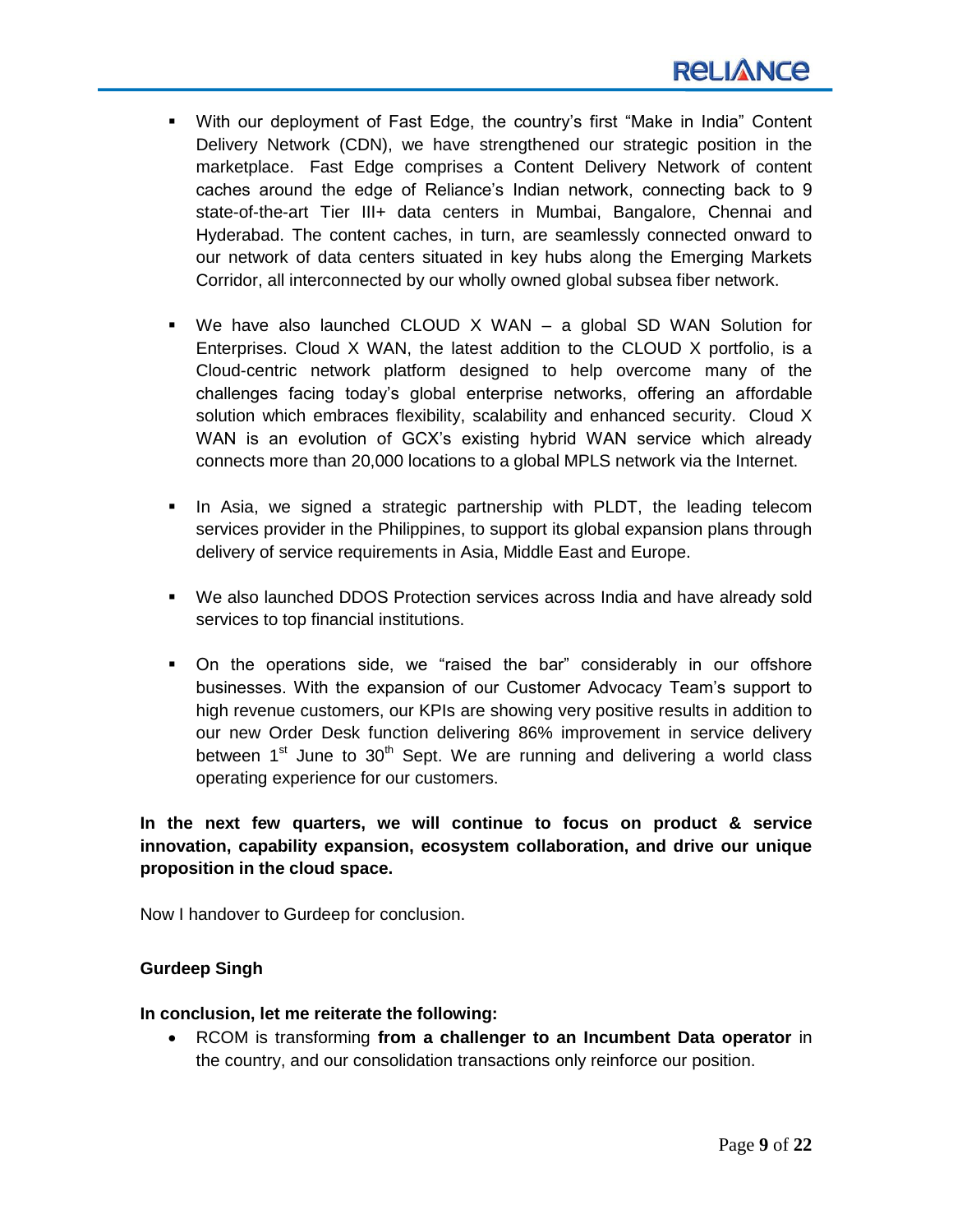- With our deployment of Fast Edge, the country's first "Make in India" Content Delivery Network (CDN), we have strengthened our strategic position in the marketplace. Fast Edge comprises a Content Delivery Network of content caches around the edge of Reliance's Indian network, connecting back to 9 state-of-the-art Tier III+ data centers in Mumbai, Bangalore, Chennai and Hyderabad. The content caches, in turn, are seamlessly connected onward to our network of data centers situated in key hubs along the Emerging Markets Corridor, all interconnected by our wholly owned global subsea fiber network.
- We have also launched CLOUD X WAN a global SD WAN Solution for Enterprises. Cloud X WAN, the latest addition to the CLOUD X portfolio, is a Cloud-centric network platform designed to help overcome many of the challenges facing today's global enterprise networks, offering an affordable solution which embraces flexibility, scalability and enhanced security. Cloud X WAN is an evolution of GCX's existing hybrid WAN service which already connects more than 20,000 locations to a global MPLS network via the Internet.
- In Asia, we signed a strategic partnership with PLDT, the leading telecom services provider in the Philippines, to support its global expansion plans through delivery of service requirements in Asia, Middle East and Europe.
- We also launched DDOS Protection services across India and have already sold services to top financial institutions.
- On the operations side, we "raised the bar" considerably in our offshore businesses. With the expansion of our Customer Advocacy Team's support to high revenue customers, our KPIs are showing very positive results in addition to our new Order Desk function delivering 86% improvement in service delivery between  $1<sup>st</sup>$  June to  $30<sup>th</sup>$  Sept. We are running and delivering a world class operating experience for our customers.

**In the next few quarters, we will continue to focus on product & service innovation, capability expansion, ecosystem collaboration, and drive our unique proposition in the cloud space.** 

Now I handover to Gurdeep for conclusion.

# **Gurdeep Singh**

#### **In conclusion, let me reiterate the following:**

 RCOM is transforming **from a challenger to an Incumbent Data operator** in the country, and our consolidation transactions only reinforce our position.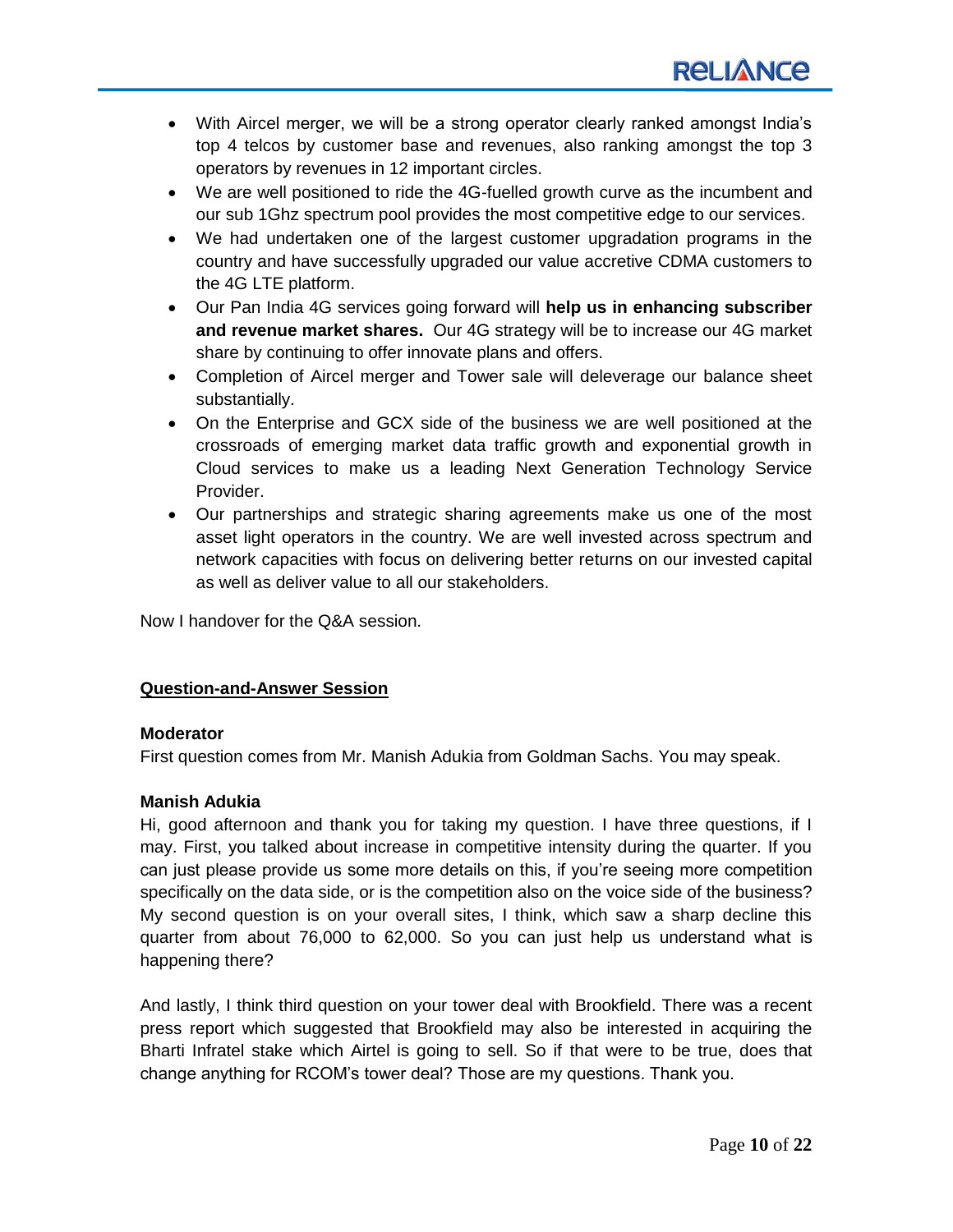- With Aircel merger, we will be a strong operator clearly ranked amongst India's top 4 telcos by customer base and revenues, also ranking amongst the top 3 operators by revenues in 12 important circles.
- We are well positioned to ride the 4G-fuelled growth curve as the incumbent and our sub 1Ghz spectrum pool provides the most competitive edge to our services.
- We had undertaken one of the largest customer upgradation programs in the country and have successfully upgraded our value accretive CDMA customers to the 4G LTE platform.
- Our Pan India 4G services going forward will **help us in enhancing subscriber and revenue market shares.** Our 4G strategy will be to increase our 4G market share by continuing to offer innovate plans and offers.
- Completion of Aircel merger and Tower sale will deleverage our balance sheet substantially.
- On the Enterprise and GCX side of the business we are well positioned at the crossroads of emerging market data traffic growth and exponential growth in Cloud services to make us a leading Next Generation Technology Service Provider.
- Our partnerships and strategic sharing agreements make us one of the most asset light operators in the country. We are well invested across spectrum and network capacities with focus on delivering better returns on our invested capital as well as deliver value to all our stakeholders.

Now I handover for the Q&A session.

# **Question-and-Answer Session**

# **Moderator**

First question comes from Mr. Manish Adukia from Goldman Sachs. You may speak.

# **Manish Adukia**

Hi, good afternoon and thank you for taking my question. I have three questions, if I may. First, you talked about increase in competitive intensity during the quarter. If you can just please provide us some more details on this, if you're seeing more competition specifically on the data side, or is the competition also on the voice side of the business? My second question is on your overall sites, I think, which saw a sharp decline this quarter from about 76,000 to 62,000. So you can just help us understand what is happening there?

And lastly, I think third question on your tower deal with Brookfield. There was a recent press report which suggested that Brookfield may also be interested in acquiring the Bharti Infratel stake which Airtel is going to sell. So if that were to be true, does that change anything for RCOM's tower deal? Those are my questions. Thank you.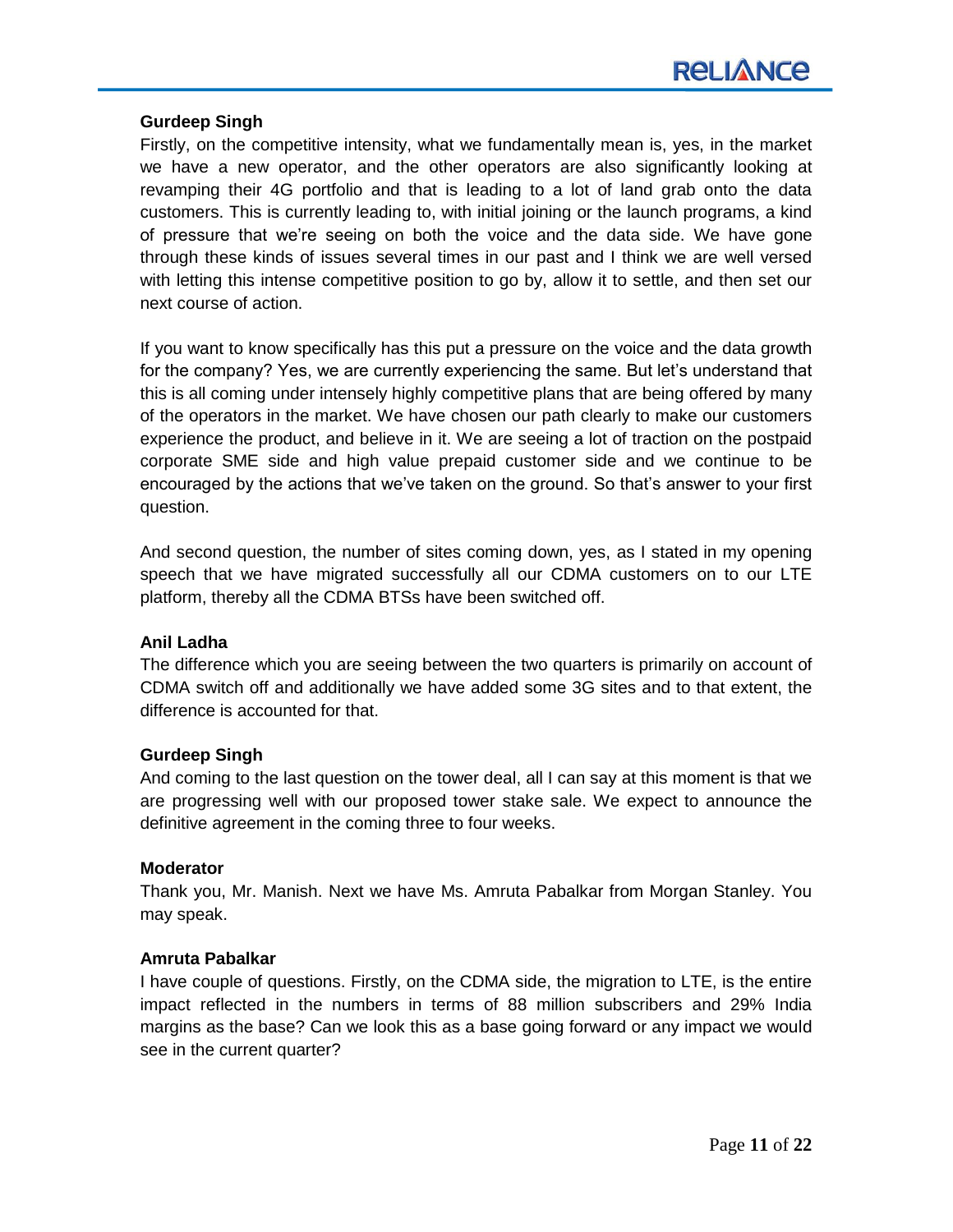# **Gurdeep Singh**

Firstly, on the competitive intensity, what we fundamentally mean is, yes, in the market we have a new operator, and the other operators are also significantly looking at revamping their 4G portfolio and that is leading to a lot of land grab onto the data customers. This is currently leading to, with initial joining or the launch programs, a kind of pressure that we're seeing on both the voice and the data side. We have gone through these kinds of issues several times in our past and I think we are well versed with letting this intense competitive position to go by, allow it to settle, and then set our next course of action.

If you want to know specifically has this put a pressure on the voice and the data growth for the company? Yes, we are currently experiencing the same. But let's understand that this is all coming under intensely highly competitive plans that are being offered by many of the operators in the market. We have chosen our path clearly to make our customers experience the product, and believe in it. We are seeing a lot of traction on the postpaid corporate SME side and high value prepaid customer side and we continue to be encouraged by the actions that we've taken on the ground. So that's answer to your first question.

And second question, the number of sites coming down, yes, as I stated in my opening speech that we have migrated successfully all our CDMA customers on to our LTE platform, thereby all the CDMA BTSs have been switched off.

# **Anil Ladha**

The difference which you are seeing between the two quarters is primarily on account of CDMA switch off and additionally we have added some 3G sites and to that extent, the difference is accounted for that.

# **Gurdeep Singh**

And coming to the last question on the tower deal, all I can say at this moment is that we are progressing well with our proposed tower stake sale. We expect to announce the definitive agreement in the coming three to four weeks.

# **Moderator**

Thank you, Mr. Manish. Next we have Ms. Amruta Pabalkar from Morgan Stanley. You may speak.

# **Amruta Pabalkar**

I have couple of questions. Firstly, on the CDMA side, the migration to LTE, is the entire impact reflected in the numbers in terms of 88 million subscribers and 29% India margins as the base? Can we look this as a base going forward or any impact we would see in the current quarter?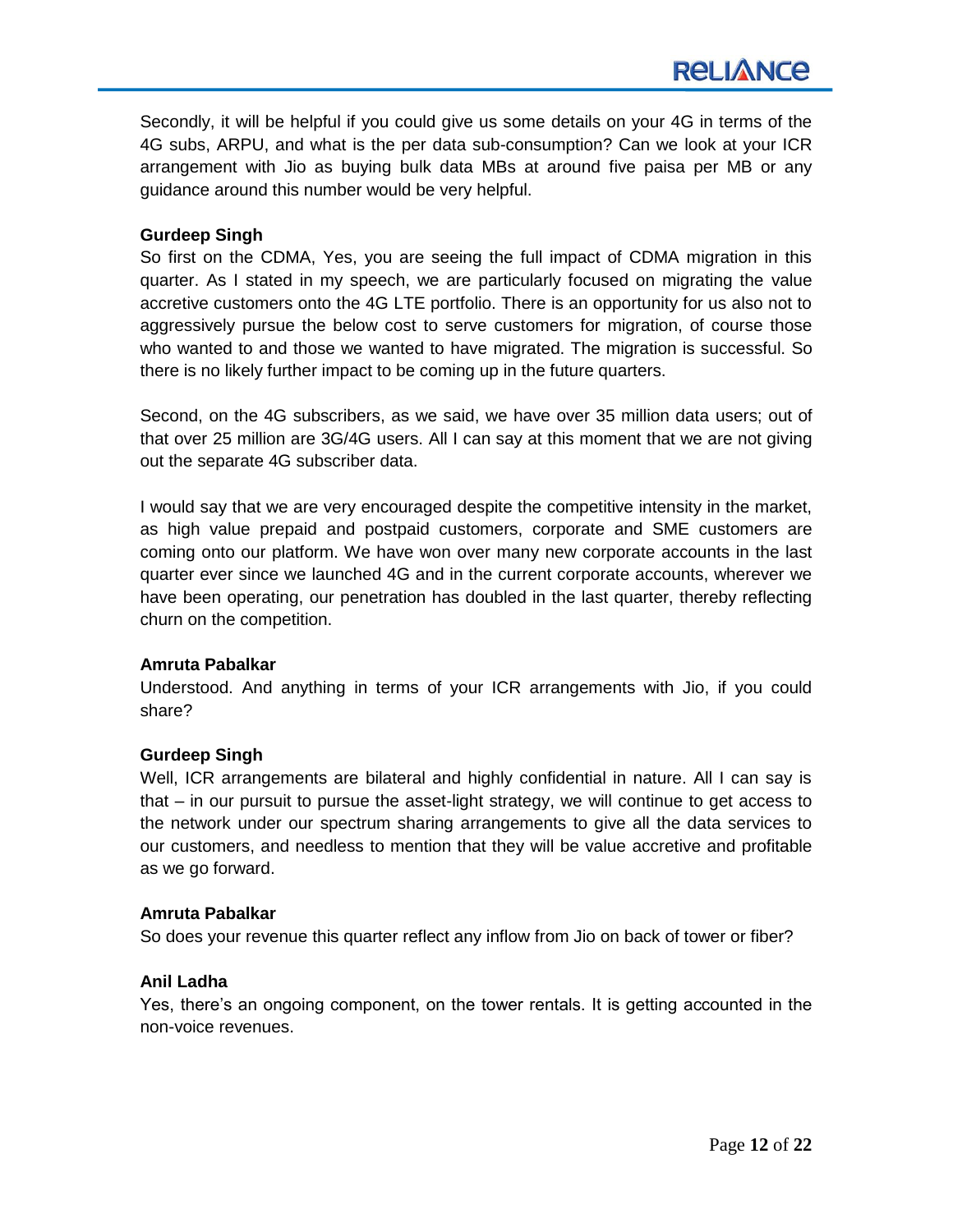Secondly, it will be helpful if you could give us some details on your 4G in terms of the 4G subs, ARPU, and what is the per data sub-consumption? Can we look at your ICR arrangement with Jio as buying bulk data MBs at around five paisa per MB or any guidance around this number would be very helpful.

# **Gurdeep Singh**

So first on the CDMA, Yes, you are seeing the full impact of CDMA migration in this quarter. As I stated in my speech, we are particularly focused on migrating the value accretive customers onto the 4G LTE portfolio. There is an opportunity for us also not to aggressively pursue the below cost to serve customers for migration, of course those who wanted to and those we wanted to have migrated. The migration is successful. So there is no likely further impact to be coming up in the future quarters.

Second, on the 4G subscribers, as we said, we have over 35 million data users; out of that over 25 million are 3G/4G users. All I can say at this moment that we are not giving out the separate 4G subscriber data.

I would say that we are very encouraged despite the competitive intensity in the market, as high value prepaid and postpaid customers, corporate and SME customers are coming onto our platform. We have won over many new corporate accounts in the last quarter ever since we launched 4G and in the current corporate accounts, wherever we have been operating, our penetration has doubled in the last quarter, thereby reflecting churn on the competition.

# **Amruta Pabalkar**

Understood. And anything in terms of your ICR arrangements with Jio, if you could share?

# **Gurdeep Singh**

Well, ICR arrangements are bilateral and highly confidential in nature. All I can say is that – in our pursuit to pursue the asset-light strategy, we will continue to get access to the network under our spectrum sharing arrangements to give all the data services to our customers, and needless to mention that they will be value accretive and profitable as we go forward.

#### **Amruta Pabalkar**

So does your revenue this quarter reflect any inflow from Jio on back of tower or fiber?

#### **Anil Ladha**

Yes, there's an ongoing component, on the tower rentals. It is getting accounted in the non-voice revenues.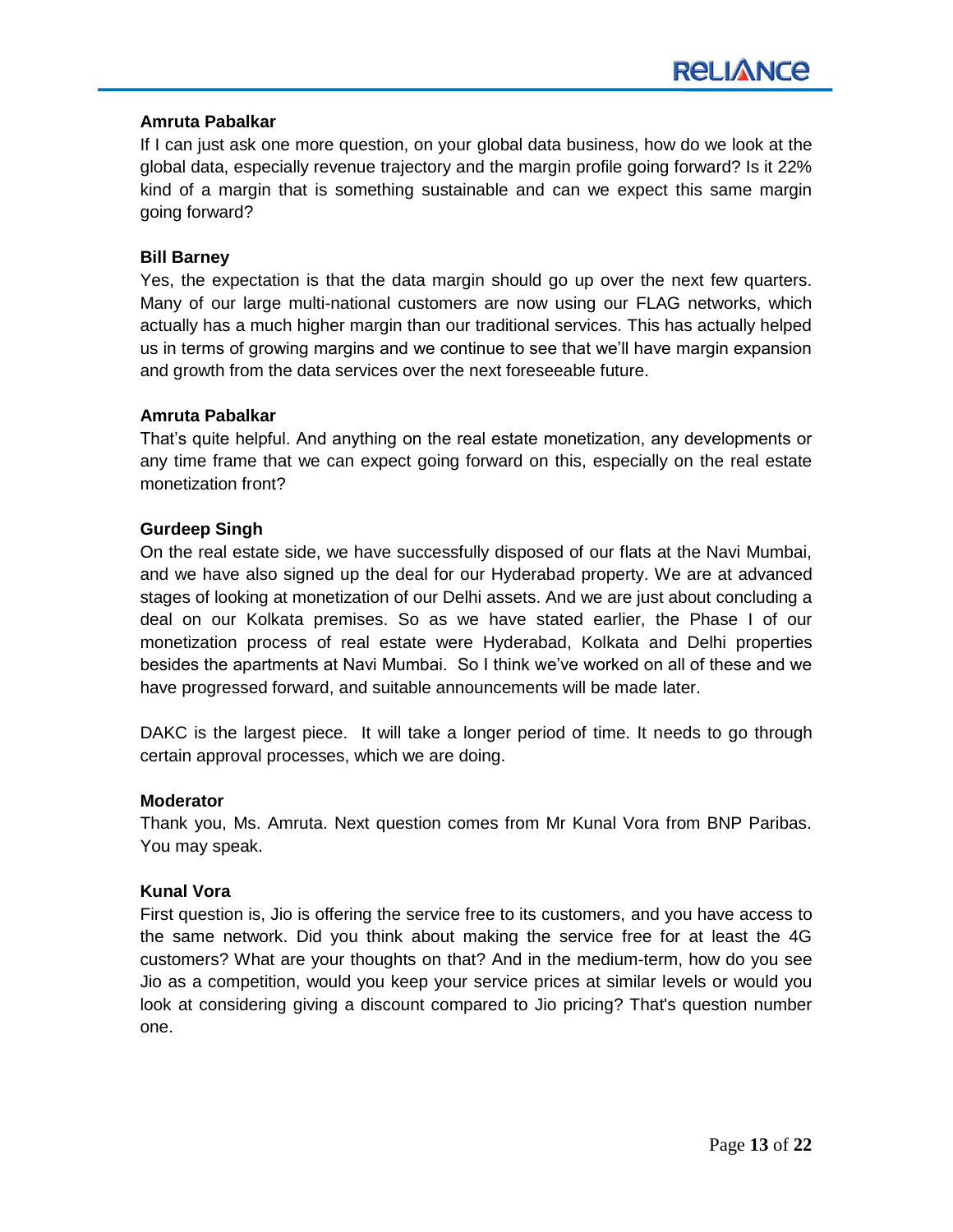#### **Amruta Pabalkar**

If I can just ask one more question, on your global data business, how do we look at the global data, especially revenue trajectory and the margin profile going forward? Is it 22% kind of a margin that is something sustainable and can we expect this same margin going forward?

#### **Bill Barney**

Yes, the expectation is that the data margin should go up over the next few quarters. Many of our large multi-national customers are now using our FLAG networks, which actually has a much higher margin than our traditional services. This has actually helped us in terms of growing margins and we continue to see that we'll have margin expansion and growth from the data services over the next foreseeable future.

#### **Amruta Pabalkar**

That's quite helpful. And anything on the real estate monetization, any developments or any time frame that we can expect going forward on this, especially on the real estate monetization front?

#### **Gurdeep Singh**

On the real estate side, we have successfully disposed of our flats at the Navi Mumbai, and we have also signed up the deal for our Hyderabad property. We are at advanced stages of looking at monetization of our Delhi assets. And we are just about concluding a deal on our Kolkata premises. So as we have stated earlier, the Phase I of our monetization process of real estate were Hyderabad, Kolkata and Delhi properties besides the apartments at Navi Mumbai. So I think we've worked on all of these and we have progressed forward, and suitable announcements will be made later.

DAKC is the largest piece. It will take a longer period of time. It needs to go through certain approval processes, which we are doing.

#### **Moderator**

Thank you, Ms. Amruta. Next question comes from Mr Kunal Vora from BNP Paribas. You may speak.

#### **Kunal Vora**

First question is, Jio is offering the service free to its customers, and you have access to the same network. Did you think about making the service free for at least the 4G customers? What are your thoughts on that? And in the medium-term, how do you see Jio as a competition, would you keep your service prices at similar levels or would you look at considering giving a discount compared to Jio pricing? That's question number one.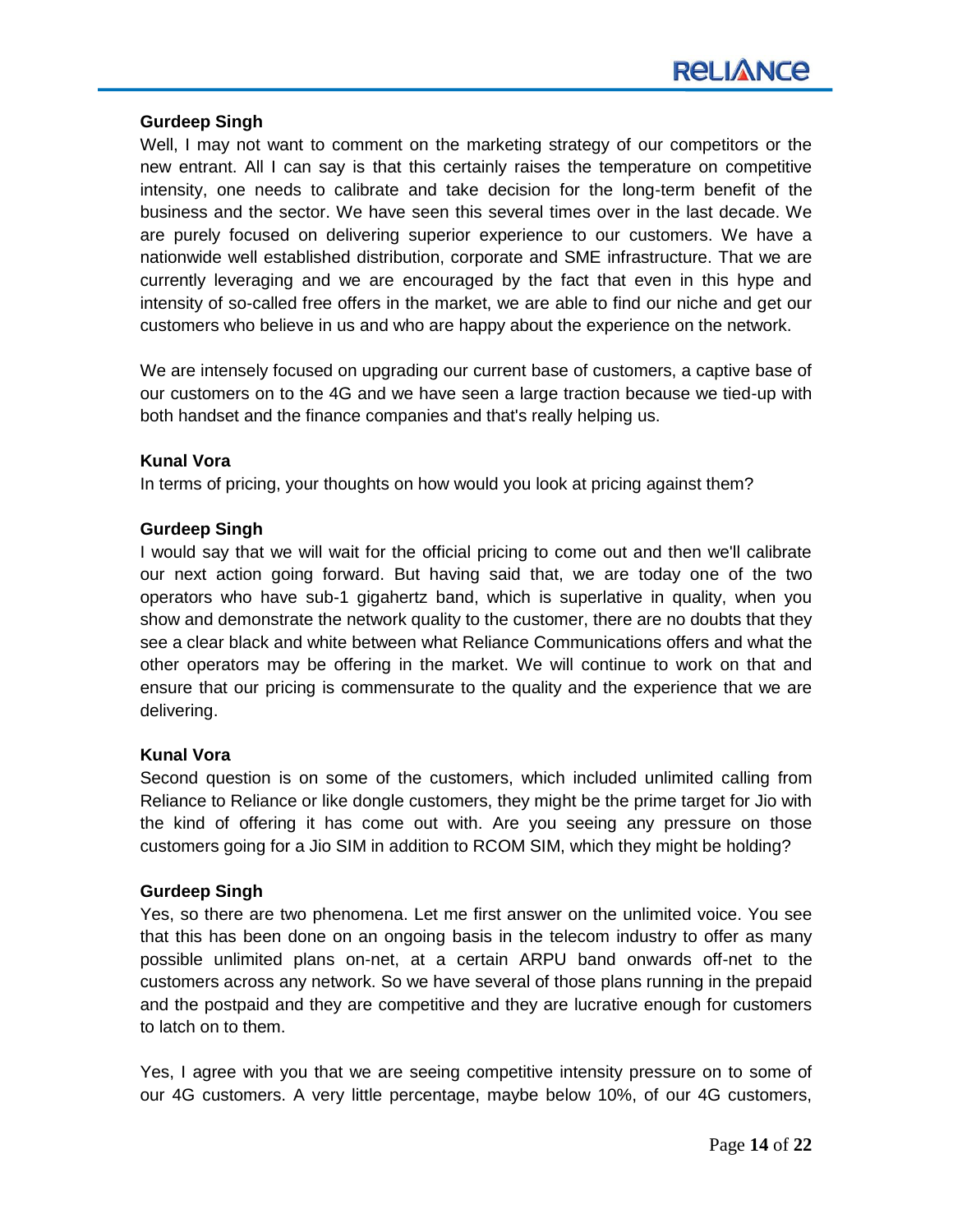# **Gurdeep Singh**

Well, I may not want to comment on the marketing strategy of our competitors or the new entrant. All I can say is that this certainly raises the temperature on competitive intensity, one needs to calibrate and take decision for the long-term benefit of the business and the sector. We have seen this several times over in the last decade. We are purely focused on delivering superior experience to our customers. We have a nationwide well established distribution, corporate and SME infrastructure. That we are currently leveraging and we are encouraged by the fact that even in this hype and intensity of so-called free offers in the market, we are able to find our niche and get our customers who believe in us and who are happy about the experience on the network.

We are intensely focused on upgrading our current base of customers, a captive base of our customers on to the 4G and we have seen a large traction because we tied-up with both handset and the finance companies and that's really helping us.

# **Kunal Vora**

In terms of pricing, your thoughts on how would you look at pricing against them?

#### **Gurdeep Singh**

I would say that we will wait for the official pricing to come out and then we'll calibrate our next action going forward. But having said that, we are today one of the two operators who have sub-1 gigahertz band, which is superlative in quality, when you show and demonstrate the network quality to the customer, there are no doubts that they see a clear black and white between what Reliance Communications offers and what the other operators may be offering in the market. We will continue to work on that and ensure that our pricing is commensurate to the quality and the experience that we are delivering.

# **Kunal Vora**

Second question is on some of the customers, which included unlimited calling from Reliance to Reliance or like dongle customers, they might be the prime target for Jio with the kind of offering it has come out with. Are you seeing any pressure on those customers going for a Jio SIM in addition to RCOM SIM, which they might be holding?

#### **Gurdeep Singh**

Yes, so there are two phenomena. Let me first answer on the unlimited voice. You see that this has been done on an ongoing basis in the telecom industry to offer as many possible unlimited plans on-net, at a certain ARPU band onwards off-net to the customers across any network. So we have several of those plans running in the prepaid and the postpaid and they are competitive and they are lucrative enough for customers to latch on to them.

Yes, I agree with you that we are seeing competitive intensity pressure on to some of our 4G customers. A very little percentage, maybe below 10%, of our 4G customers,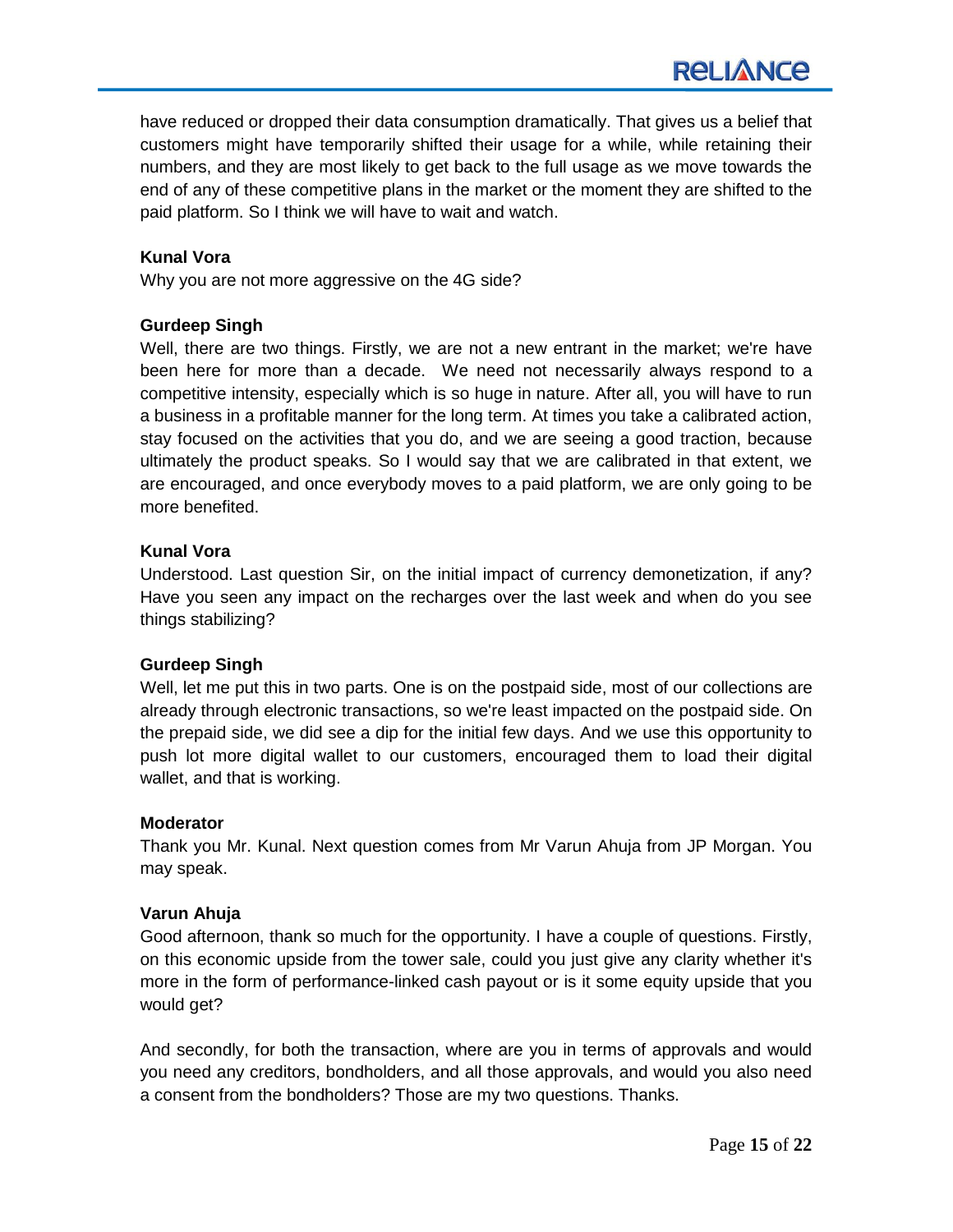have reduced or dropped their data consumption dramatically. That gives us a belief that customers might have temporarily shifted their usage for a while, while retaining their numbers, and they are most likely to get back to the full usage as we move towards the end of any of these competitive plans in the market or the moment they are shifted to the paid platform. So I think we will have to wait and watch.

# **Kunal Vora**

Why you are not more aggressive on the 4G side?

# **Gurdeep Singh**

Well, there are two things. Firstly, we are not a new entrant in the market; we're have been here for more than a decade. We need not necessarily always respond to a competitive intensity, especially which is so huge in nature. After all, you will have to run a business in a profitable manner for the long term. At times you take a calibrated action, stay focused on the activities that you do, and we are seeing a good traction, because ultimately the product speaks. So I would say that we are calibrated in that extent, we are encouraged, and once everybody moves to a paid platform, we are only going to be more benefited.

# **Kunal Vora**

Understood. Last question Sir, on the initial impact of currency demonetization, if any? Have you seen any impact on the recharges over the last week and when do you see things stabilizing?

# **Gurdeep Singh**

Well, let me put this in two parts. One is on the postpaid side, most of our collections are already through electronic transactions, so we're least impacted on the postpaid side. On the prepaid side, we did see a dip for the initial few days. And we use this opportunity to push lot more digital wallet to our customers, encouraged them to load their digital wallet, and that is working.

# **Moderator**

Thank you Mr. Kunal. Next question comes from Mr Varun Ahuja from JP Morgan. You may speak.

# **Varun Ahuja**

Good afternoon, thank so much for the opportunity. I have a couple of questions. Firstly, on this economic upside from the tower sale, could you just give any clarity whether it's more in the form of performance-linked cash payout or is it some equity upside that you would get?

And secondly, for both the transaction, where are you in terms of approvals and would you need any creditors, bondholders, and all those approvals, and would you also need a consent from the bondholders? Those are my two questions. Thanks.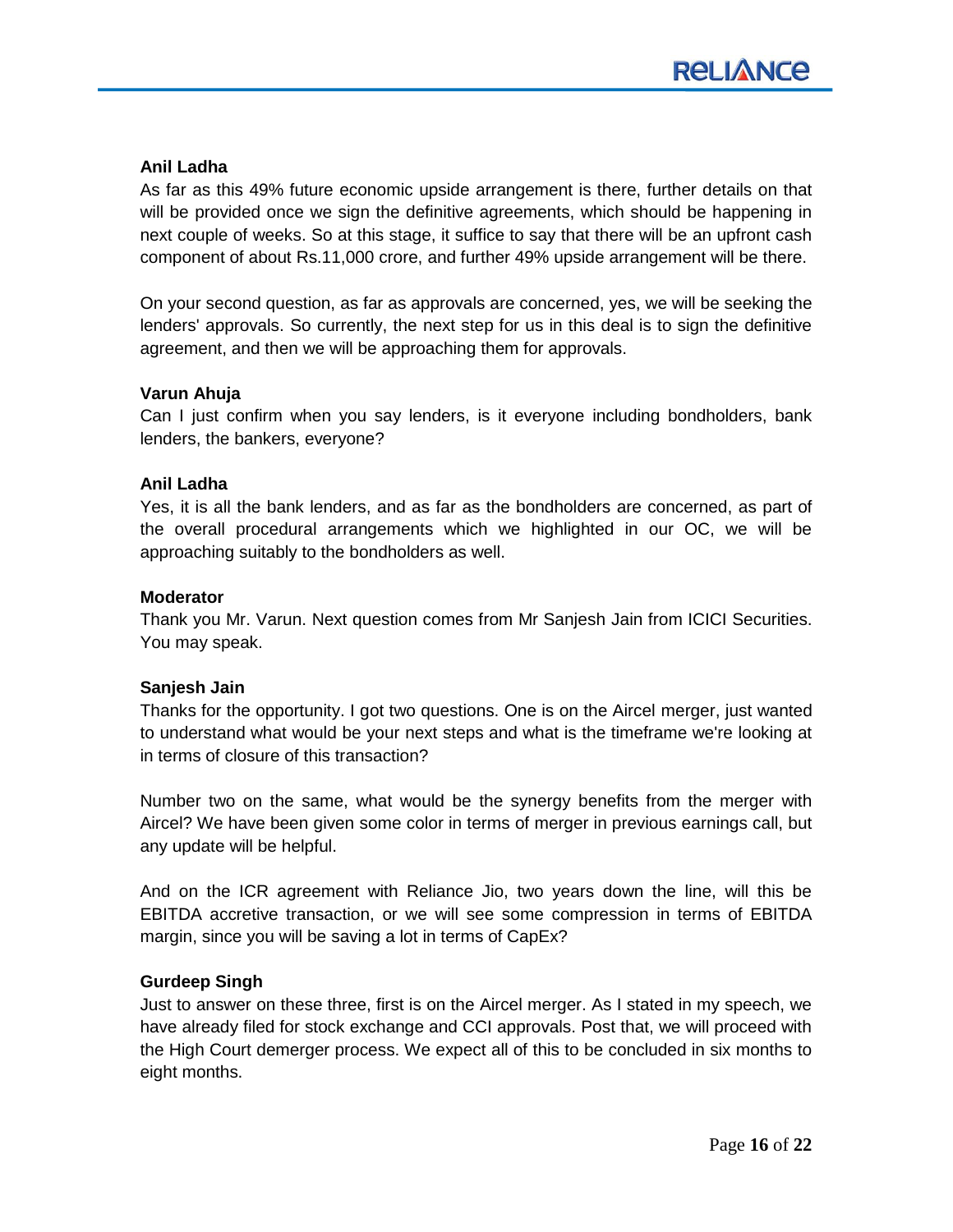# **Anil Ladha**

As far as this 49% future economic upside arrangement is there, further details on that will be provided once we sign the definitive agreements, which should be happening in next couple of weeks. So at this stage, it suffice to say that there will be an upfront cash component of about Rs.11,000 crore, and further 49% upside arrangement will be there.

On your second question, as far as approvals are concerned, yes, we will be seeking the lenders' approvals. So currently, the next step for us in this deal is to sign the definitive agreement, and then we will be approaching them for approvals.

#### **Varun Ahuja**

Can I just confirm when you say lenders, is it everyone including bondholders, bank lenders, the bankers, everyone?

#### **Anil Ladha**

Yes, it is all the bank lenders, and as far as the bondholders are concerned, as part of the overall procedural arrangements which we highlighted in our OC, we will be approaching suitably to the bondholders as well.

#### **Moderator**

Thank you Mr. Varun. Next question comes from Mr Sanjesh Jain from ICICI Securities. You may speak.

# **Sanjesh Jain**

Thanks for the opportunity. I got two questions. One is on the Aircel merger, just wanted to understand what would be your next steps and what is the timeframe we're looking at in terms of closure of this transaction?

Number two on the same, what would be the synergy benefits from the merger with Aircel? We have been given some color in terms of merger in previous earnings call, but any update will be helpful.

And on the ICR agreement with Reliance Jio, two years down the line, will this be EBITDA accretive transaction, or we will see some compression in terms of EBITDA margin, since you will be saving a lot in terms of CapEx?

#### **Gurdeep Singh**

Just to answer on these three, first is on the Aircel merger. As I stated in my speech, we have already filed for stock exchange and CCI approvals. Post that, we will proceed with the High Court demerger process. We expect all of this to be concluded in six months to eight months.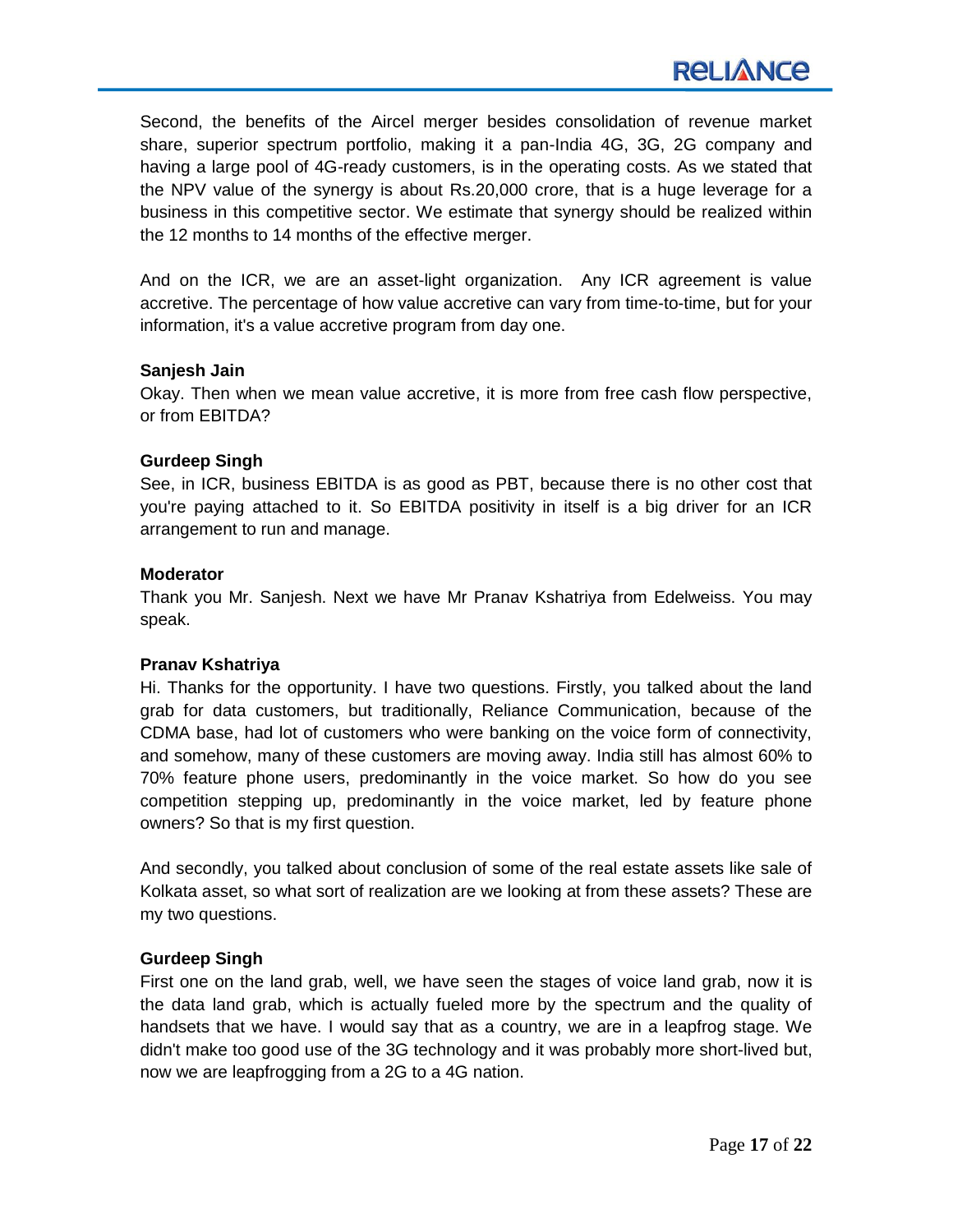Second, the benefits of the Aircel merger besides consolidation of revenue market share, superior spectrum portfolio, making it a pan-India 4G, 3G, 2G company and having a large pool of 4G-ready customers, is in the operating costs. As we stated that the NPV value of the synergy is about Rs.20,000 crore, that is a huge leverage for a business in this competitive sector. We estimate that synergy should be realized within the 12 months to 14 months of the effective merger.

And on the ICR, we are an asset-light organization. Any ICR agreement is value accretive. The percentage of how value accretive can vary from time-to-time, but for your information, it's a value accretive program from day one.

#### **Sanjesh Jain**

Okay. Then when we mean value accretive, it is more from free cash flow perspective, or from EBITDA?

# **Gurdeep Singh**

See, in ICR, business EBITDA is as good as PBT, because there is no other cost that you're paying attached to it. So EBITDA positivity in itself is a big driver for an ICR arrangement to run and manage.

#### **Moderator**

Thank you Mr. Sanjesh. Next we have Mr Pranav Kshatriya from Edelweiss. You may speak.

# **Pranav Kshatriya**

Hi. Thanks for the opportunity. I have two questions. Firstly, you talked about the land grab for data customers, but traditionally, Reliance Communication, because of the CDMA base, had lot of customers who were banking on the voice form of connectivity, and somehow, many of these customers are moving away. India still has almost 60% to 70% feature phone users, predominantly in the voice market. So how do you see competition stepping up, predominantly in the voice market, led by feature phone owners? So that is my first question.

And secondly, you talked about conclusion of some of the real estate assets like sale of Kolkata asset, so what sort of realization are we looking at from these assets? These are my two questions.

# **Gurdeep Singh**

First one on the land grab, well, we have seen the stages of voice land grab, now it is the data land grab, which is actually fueled more by the spectrum and the quality of handsets that we have. I would say that as a country, we are in a leapfrog stage. We didn't make too good use of the 3G technology and it was probably more short-lived but, now we are leapfrogging from a 2G to a 4G nation.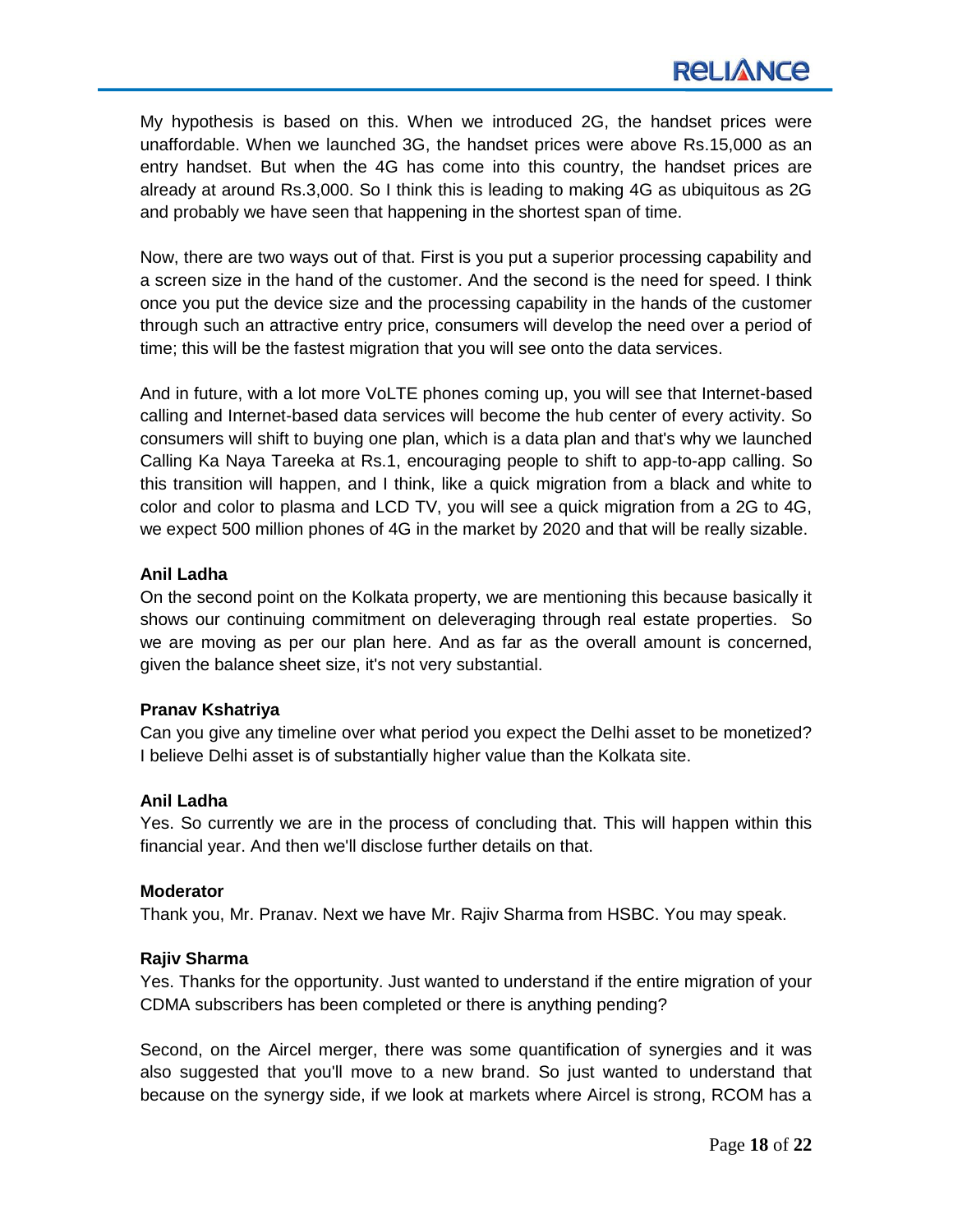My hypothesis is based on this. When we introduced 2G, the handset prices were unaffordable. When we launched 3G, the handset prices were above Rs.15,000 as an entry handset. But when the 4G has come into this country, the handset prices are already at around Rs.3,000. So I think this is leading to making 4G as ubiquitous as 2G and probably we have seen that happening in the shortest span of time.

Now, there are two ways out of that. First is you put a superior processing capability and a screen size in the hand of the customer. And the second is the need for speed. I think once you put the device size and the processing capability in the hands of the customer through such an attractive entry price, consumers will develop the need over a period of time; this will be the fastest migration that you will see onto the data services.

And in future, with a lot more VoLTE phones coming up, you will see that Internet-based calling and Internet-based data services will become the hub center of every activity. So consumers will shift to buying one plan, which is a data plan and that's why we launched Calling Ka Naya Tareeka at Rs.1, encouraging people to shift to app-to-app calling. So this transition will happen, and I think, like a quick migration from a black and white to color and color to plasma and LCD TV, you will see a quick migration from a 2G to 4G, we expect 500 million phones of 4G in the market by 2020 and that will be really sizable.

# **Anil Ladha**

On the second point on the Kolkata property, we are mentioning this because basically it shows our continuing commitment on deleveraging through real estate properties. So we are moving as per our plan here. And as far as the overall amount is concerned, given the balance sheet size, it's not very substantial.

# **Pranav Kshatriya**

Can you give any timeline over what period you expect the Delhi asset to be monetized? I believe Delhi asset is of substantially higher value than the Kolkata site.

# **Anil Ladha**

Yes. So currently we are in the process of concluding that. This will happen within this financial year. And then we'll disclose further details on that.

# **Moderator**

Thank you, Mr. Pranav. Next we have Mr. Rajiv Sharma from HSBC. You may speak.

# **Rajiv Sharma**

Yes. Thanks for the opportunity. Just wanted to understand if the entire migration of your CDMA subscribers has been completed or there is anything pending?

Second, on the Aircel merger, there was some quantification of synergies and it was also suggested that you'll move to a new brand. So just wanted to understand that because on the synergy side, if we look at markets where Aircel is strong, RCOM has a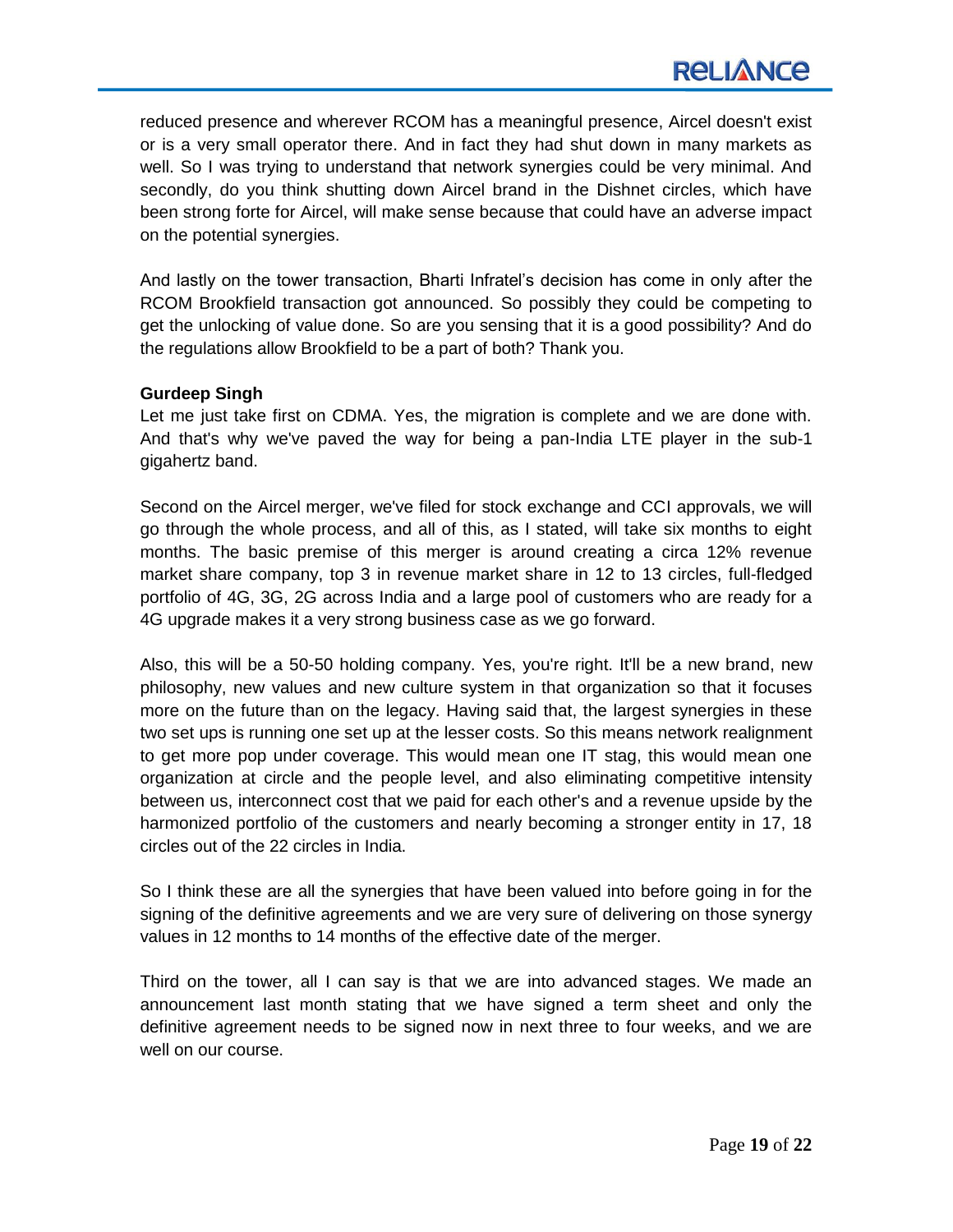reduced presence and wherever RCOM has a meaningful presence, Aircel doesn't exist or is a very small operator there. And in fact they had shut down in many markets as well. So I was trying to understand that network synergies could be very minimal. And secondly, do you think shutting down Aircel brand in the Dishnet circles, which have been strong forte for Aircel, will make sense because that could have an adverse impact on the potential synergies.

And lastly on the tower transaction, Bharti Infratel's decision has come in only after the RCOM Brookfield transaction got announced. So possibly they could be competing to get the unlocking of value done. So are you sensing that it is a good possibility? And do the regulations allow Brookfield to be a part of both? Thank you.

# **Gurdeep Singh**

Let me just take first on CDMA. Yes, the migration is complete and we are done with. And that's why we've paved the way for being a pan-India LTE player in the sub-1 gigahertz band.

Second on the Aircel merger, we've filed for stock exchange and CCI approvals, we will go through the whole process, and all of this, as I stated, will take six months to eight months. The basic premise of this merger is around creating a circa 12% revenue market share company, top 3 in revenue market share in 12 to 13 circles, full-fledged portfolio of 4G, 3G, 2G across India and a large pool of customers who are ready for a 4G upgrade makes it a very strong business case as we go forward.

Also, this will be a 50-50 holding company. Yes, you're right. It'll be a new brand, new philosophy, new values and new culture system in that organization so that it focuses more on the future than on the legacy. Having said that, the largest synergies in these two set ups is running one set up at the lesser costs. So this means network realignment to get more pop under coverage. This would mean one IT stag, this would mean one organization at circle and the people level, and also eliminating competitive intensity between us, interconnect cost that we paid for each other's and a revenue upside by the harmonized portfolio of the customers and nearly becoming a stronger entity in 17, 18 circles out of the 22 circles in India.

So I think these are all the synergies that have been valued into before going in for the signing of the definitive agreements and we are very sure of delivering on those synergy values in 12 months to 14 months of the effective date of the merger.

Third on the tower, all I can say is that we are into advanced stages. We made an announcement last month stating that we have signed a term sheet and only the definitive agreement needs to be signed now in next three to four weeks, and we are well on our course.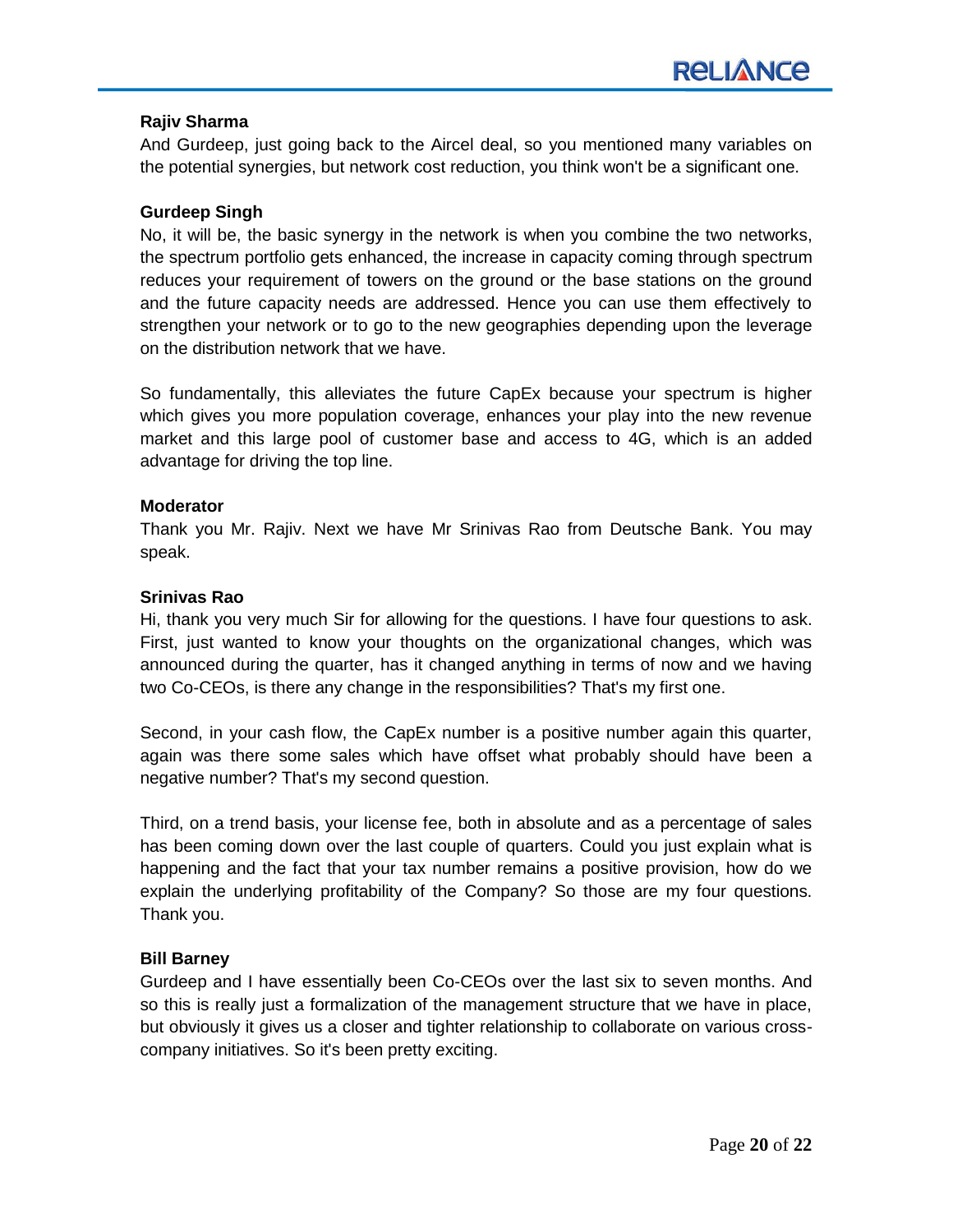# **Rajiv Sharma**

And Gurdeep, just going back to the Aircel deal, so you mentioned many variables on the potential synergies, but network cost reduction, you think won't be a significant one.

#### **Gurdeep Singh**

No, it will be, the basic synergy in the network is when you combine the two networks, the spectrum portfolio gets enhanced, the increase in capacity coming through spectrum reduces your requirement of towers on the ground or the base stations on the ground and the future capacity needs are addressed. Hence you can use them effectively to strengthen your network or to go to the new geographies depending upon the leverage on the distribution network that we have.

So fundamentally, this alleviates the future CapEx because your spectrum is higher which gives you more population coverage, enhances your play into the new revenue market and this large pool of customer base and access to 4G, which is an added advantage for driving the top line.

#### **Moderator**

Thank you Mr. Rajiv. Next we have Mr Srinivas Rao from Deutsche Bank. You may speak.

#### **Srinivas Rao**

Hi, thank you very much Sir for allowing for the questions. I have four questions to ask. First, just wanted to know your thoughts on the organizational changes, which was announced during the quarter, has it changed anything in terms of now and we having two Co-CEOs, is there any change in the responsibilities? That's my first one.

Second, in your cash flow, the CapEx number is a positive number again this quarter, again was there some sales which have offset what probably should have been a negative number? That's my second question.

Third, on a trend basis, your license fee, both in absolute and as a percentage of sales has been coming down over the last couple of quarters. Could you just explain what is happening and the fact that your tax number remains a positive provision, how do we explain the underlying profitability of the Company? So those are my four questions. Thank you.

# **Bill Barney**

Gurdeep and I have essentially been Co-CEOs over the last six to seven months. And so this is really just a formalization of the management structure that we have in place, but obviously it gives us a closer and tighter relationship to collaborate on various crosscompany initiatives. So it's been pretty exciting.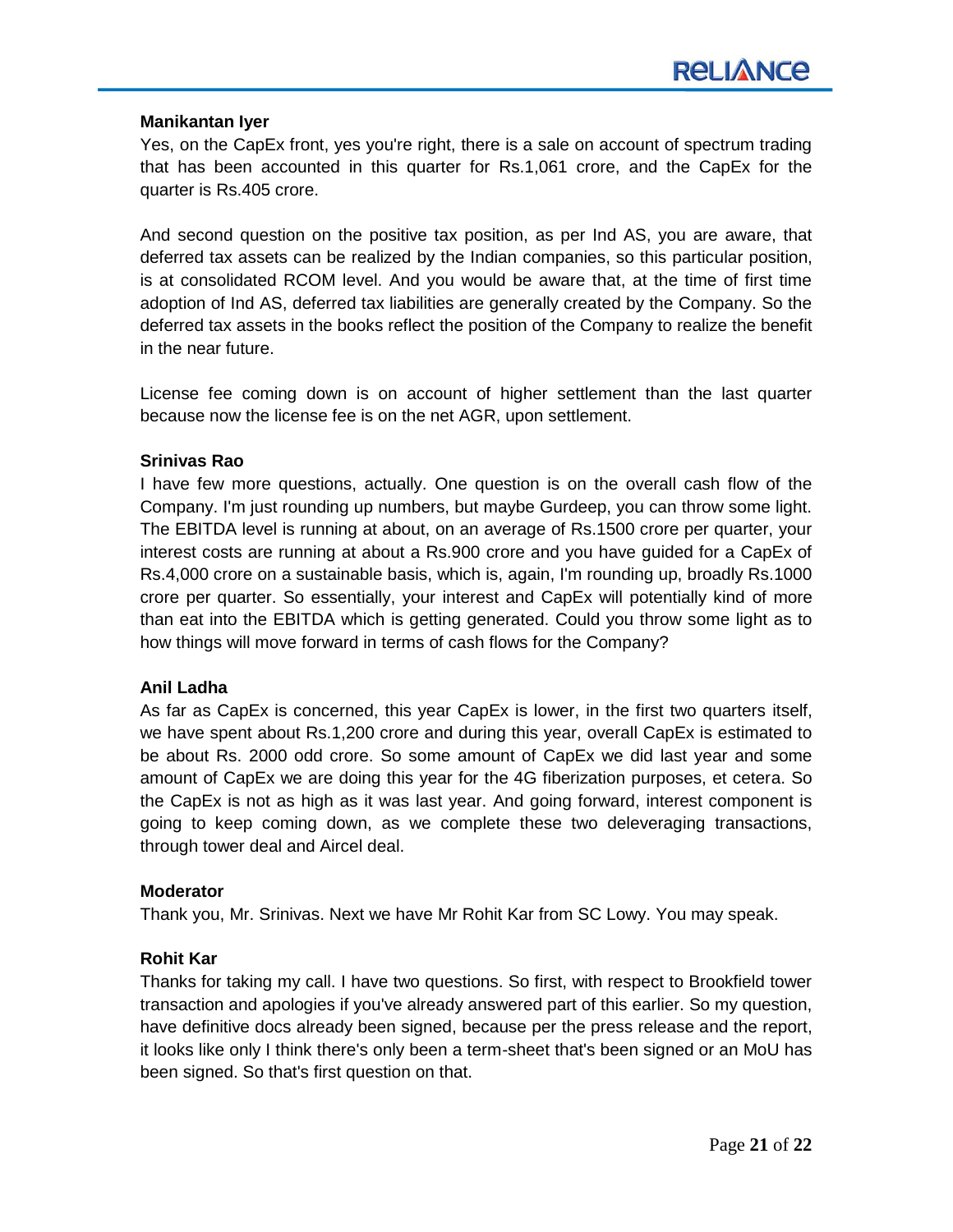#### **Manikantan Iyer**

Yes, on the CapEx front, yes you're right, there is a sale on account of spectrum trading that has been accounted in this quarter for Rs.1,061 crore, and the CapEx for the quarter is Rs.405 crore.

And second question on the positive tax position, as per Ind AS, you are aware, that deferred tax assets can be realized by the Indian companies, so this particular position, is at consolidated RCOM level. And you would be aware that, at the time of first time adoption of Ind AS, deferred tax liabilities are generally created by the Company. So the deferred tax assets in the books reflect the position of the Company to realize the benefit in the near future.

License fee coming down is on account of higher settlement than the last quarter because now the license fee is on the net AGR, upon settlement.

#### **Srinivas Rao**

I have few more questions, actually. One question is on the overall cash flow of the Company. I'm just rounding up numbers, but maybe Gurdeep, you can throw some light. The EBITDA level is running at about, on an average of Rs.1500 crore per quarter, your interest costs are running at about a Rs.900 crore and you have guided for a CapEx of Rs.4,000 crore on a sustainable basis, which is, again, I'm rounding up, broadly Rs.1000 crore per quarter. So essentially, your interest and CapEx will potentially kind of more than eat into the EBITDA which is getting generated. Could you throw some light as to how things will move forward in terms of cash flows for the Company?

# **Anil Ladha**

As far as CapEx is concerned, this year CapEx is lower, in the first two quarters itself, we have spent about Rs.1,200 crore and during this year, overall CapEx is estimated to be about Rs. 2000 odd crore. So some amount of CapEx we did last year and some amount of CapEx we are doing this year for the 4G fiberization purposes, et cetera. So the CapEx is not as high as it was last year. And going forward, interest component is going to keep coming down, as we complete these two deleveraging transactions, through tower deal and Aircel deal.

#### **Moderator**

Thank you, Mr. Srinivas. Next we have Mr Rohit Kar from SC Lowy. You may speak.

# **Rohit Kar**

Thanks for taking my call. I have two questions. So first, with respect to Brookfield tower transaction and apologies if you've already answered part of this earlier. So my question, have definitive docs already been signed, because per the press release and the report, it looks like only I think there's only been a term-sheet that's been signed or an MoU has been signed. So that's first question on that.